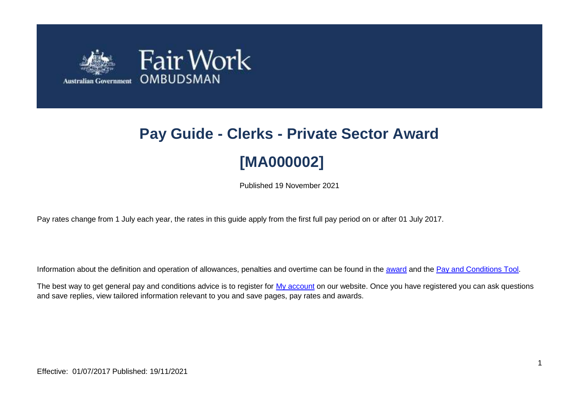

# **Pay Guide - Clerks - Private Sector Award [MA000002]**

Published 19 November 2021

Pay rates change from 1 July each year, the rates in this guide apply from the first full pay period on or after 01 July 2017.

Information about the definition and operation of allowances, penalties and overtime can be found in the [award](https://www.fairwork.gov.au/awards-and-agreements/awards/list-of-awards) and the [Pay and Conditions Tool.](https://calculate.fairwork.gov.au/)

The best way to get general pay and conditions advice is to register for [My account](https://www.fairwork.gov.au/my-account/registerpage.aspx) on our website. Once you have registered you can ask questions and save replies, view tailored information relevant to you and save pages, pay rates and awards.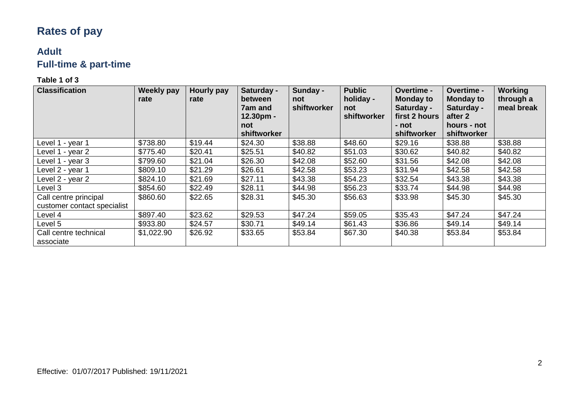# **Rates of pay**

## **Adult Full-time & part-time**

| <b>Classification</b>                                | <b>Weekly pay</b><br>rate | Hourly pay<br>rate | Saturday -<br>between<br>7am and<br>$12.30pm -$<br>not<br>shiftworker | Sunday -<br>not<br>shiftworker | <b>Public</b><br>holiday -<br>not<br>shiftworker | <b>Overtime -</b><br><b>Monday to</b><br>Saturday -<br>first 2 hours<br>- not<br>shiftworker | <b>Overtime -</b><br><b>Monday to</b><br>Saturday -<br>after 2<br>hours - not<br>shiftworker | Working<br>through a<br>meal break |
|------------------------------------------------------|---------------------------|--------------------|-----------------------------------------------------------------------|--------------------------------|--------------------------------------------------|----------------------------------------------------------------------------------------------|----------------------------------------------------------------------------------------------|------------------------------------|
| Level 1 - year 1                                     | \$738.80                  | \$19.44            | \$24.30                                                               | \$38.88                        | \$48.60                                          | \$29.16                                                                                      | \$38.88                                                                                      | \$38.88                            |
| Level 1 - year 2                                     | \$775.40                  | \$20.41            | \$25.51                                                               | \$40.82                        | \$51.03                                          | \$30.62                                                                                      | \$40.82                                                                                      | \$40.82                            |
| Level 1 - year 3                                     | \$799.60                  | \$21.04            | \$26.30                                                               | \$42.08                        | \$52.60                                          | \$31.56                                                                                      | \$42.08                                                                                      | \$42.08                            |
| Level 2 - year 1                                     | \$809.10                  | \$21.29            | \$26.61                                                               | \$42.58                        | \$53.23                                          | \$31.94                                                                                      | \$42.58                                                                                      | \$42.58                            |
| Level 2 - year 2                                     | \$824.10                  | \$21.69            | \$27.11                                                               | \$43.38                        | \$54.23                                          | \$32.54                                                                                      | \$43.38                                                                                      | \$43.38                            |
| Level 3                                              | \$854.60                  | \$22.49            | \$28.11                                                               | \$44.98                        | \$56.23                                          | \$33.74                                                                                      | \$44.98                                                                                      | \$44.98                            |
| Call centre principal<br>customer contact specialist | \$860.60                  | \$22.65            | \$28.31                                                               | \$45.30                        | \$56.63                                          | \$33.98                                                                                      | \$45.30                                                                                      | \$45.30                            |
| Level 4                                              | \$897.40                  | \$23.62            | \$29.53                                                               | \$47.24                        | \$59.05                                          | \$35.43                                                                                      | \$47.24                                                                                      | \$47.24                            |
| Level 5                                              | \$933.80                  | \$24.57            | \$30.71                                                               | \$49.14                        | \$61.43                                          | \$36.86                                                                                      | \$49.14                                                                                      | \$49.14                            |
| Call centre technical<br>associate                   | \$1,022.90                | \$26.92            | \$33.65                                                               | \$53.84                        | \$67.30                                          | \$40.38                                                                                      | \$53.84                                                                                      | \$53.84                            |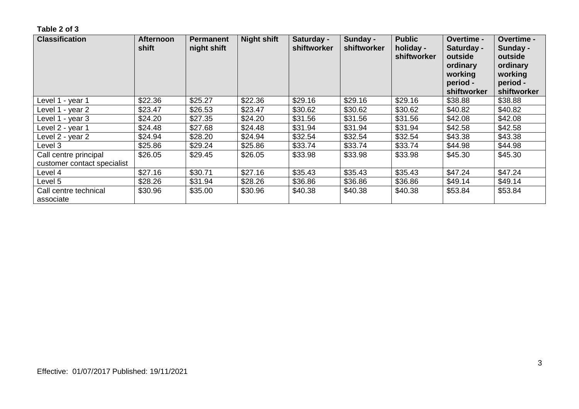| <b>Classification</b>                                | <b>Afternoon</b><br>shift | <b>Permanent</b><br>night shift | <b>Night shift</b> | Saturday -<br>shiftworker | Sunday -<br>shiftworker | <b>Public</b><br>holiday -<br>shiftworker | <b>Overtime -</b><br>Saturday -<br>outside<br>ordinary<br>working<br>period -<br>shiftworker | Overtime -<br>Sunday -<br>outside<br>ordinary<br>working<br>period -<br>shiftworker |
|------------------------------------------------------|---------------------------|---------------------------------|--------------------|---------------------------|-------------------------|-------------------------------------------|----------------------------------------------------------------------------------------------|-------------------------------------------------------------------------------------|
| Level 1 - year 1                                     | \$22.36                   | \$25.27                         | \$22.36            | \$29.16                   | \$29.16                 | \$29.16                                   | \$38.88                                                                                      | \$38.88                                                                             |
| Level 1 - year 2                                     | \$23.47                   | \$26.53                         | \$23.47            | \$30.62                   | \$30.62                 | \$30.62                                   | \$40.82                                                                                      | \$40.82                                                                             |
| Level 1 - year 3                                     | \$24.20                   | \$27.35                         | \$24.20            | \$31.56                   | \$31.56                 | \$31.56                                   | \$42.08                                                                                      | \$42.08                                                                             |
| Level 2 - year 1                                     | \$24.48                   | \$27.68                         | \$24.48            | \$31.94                   | \$31.94                 | \$31.94                                   | \$42.58                                                                                      | \$42.58                                                                             |
| Level 2 - year 2                                     | \$24.94                   | \$28.20                         | \$24.94            | \$32.54                   | \$32.54                 | \$32.54                                   | \$43.38                                                                                      | \$43.38                                                                             |
| Level 3                                              | \$25.86                   | \$29.24                         | \$25.86            | \$33.74                   | \$33.74                 | \$33.74                                   | \$44.98                                                                                      | \$44.98                                                                             |
| Call centre principal<br>customer contact specialist | \$26.05                   | \$29.45                         | \$26.05            | \$33.98                   | \$33.98                 | \$33.98                                   | \$45.30                                                                                      | \$45.30                                                                             |
| Level 4                                              | \$27.16                   | \$30.71                         | \$27.16            | \$35.43                   | \$35.43                 | \$35.43                                   | \$47.24                                                                                      | \$47.24                                                                             |
| Level 5                                              | \$28.26                   | \$31.94                         | \$28.26            | \$36.86                   | \$36.86                 | \$36.86                                   | \$49.14                                                                                      | \$49.14                                                                             |
| Call centre technical<br>associate                   | \$30.96                   | \$35.00                         | \$30.96            | \$40.38                   | \$40.38                 | \$40.38                                   | \$53.84                                                                                      | \$53.84                                                                             |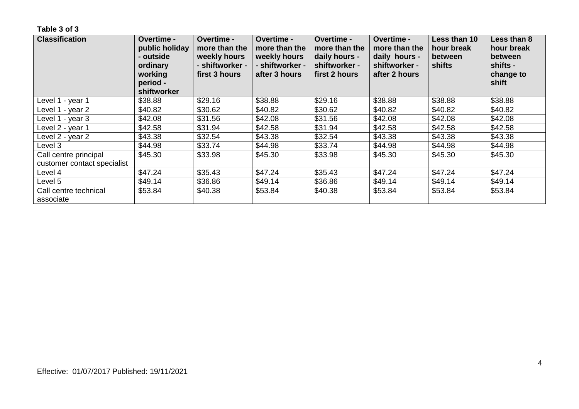| <b>Classification</b>                                | <b>Overtime -</b><br>public holiday<br>- outside<br>ordinary<br>working<br>period -<br>shiftworker | Overtime -<br>more than the<br>weekly hours<br>- shiftworker -<br>first 3 hours | <b>Overtime -</b><br>more than the<br>weekly hours<br>- shiftworker -<br>after 3 hours | Overtime -<br>more than the<br>daily hours -<br>shiftworker -<br>first 2 hours | <b>Overtime -</b><br>more than the<br>daily hours -<br>shiftworker -<br>after 2 hours | Less than 10<br>hour break<br><b>between</b><br>shifts | Less than 8<br>hour break<br><b>between</b><br>shifts -<br>change to<br>shift |
|------------------------------------------------------|----------------------------------------------------------------------------------------------------|---------------------------------------------------------------------------------|----------------------------------------------------------------------------------------|--------------------------------------------------------------------------------|---------------------------------------------------------------------------------------|--------------------------------------------------------|-------------------------------------------------------------------------------|
| Level 1 - year 1                                     | \$38.88                                                                                            | \$29.16                                                                         | \$38.88                                                                                | \$29.16                                                                        | \$38.88                                                                               | \$38.88                                                | \$38.88                                                                       |
| Level 1 - year 2                                     | \$40.82                                                                                            | \$30.62                                                                         | \$40.82                                                                                | \$30.62                                                                        | \$40.82                                                                               | \$40.82                                                | \$40.82                                                                       |
| Level 1 - year 3                                     | \$42.08                                                                                            | \$31.56                                                                         | \$42.08                                                                                | \$31.56                                                                        | \$42.08                                                                               | \$42.08                                                | \$42.08                                                                       |
| Level 2 - year 1                                     | \$42.58                                                                                            | \$31.94                                                                         | \$42.58                                                                                | \$31.94                                                                        | \$42.58                                                                               | \$42.58                                                | \$42.58                                                                       |
| Level 2 - year 2                                     | \$43.38                                                                                            | \$32.54                                                                         | \$43.38                                                                                | \$32.54                                                                        | \$43.38                                                                               | \$43.38                                                | \$43.38                                                                       |
| Level 3                                              | \$44.98                                                                                            | \$33.74                                                                         | \$44.98                                                                                | \$33.74                                                                        | \$44.98                                                                               | \$44.98                                                | \$44.98                                                                       |
| Call centre principal<br>customer contact specialist | \$45.30                                                                                            | \$33.98                                                                         | \$45.30                                                                                | \$33.98                                                                        | \$45.30                                                                               | \$45.30                                                | \$45.30                                                                       |
| Level 4                                              | \$47.24                                                                                            | \$35.43                                                                         | \$47.24                                                                                | \$35.43                                                                        | \$47.24                                                                               | \$47.24                                                | \$47.24                                                                       |
| Level 5                                              | \$49.14                                                                                            | \$36.86                                                                         | \$49.14                                                                                | \$36.86                                                                        | \$49.14                                                                               | \$49.14                                                | \$49.14                                                                       |
| Call centre technical<br>associate                   | \$53.84                                                                                            | \$40.38                                                                         | \$53.84                                                                                | \$40.38                                                                        | \$53.84                                                                               | \$53.84                                                | \$53.84                                                                       |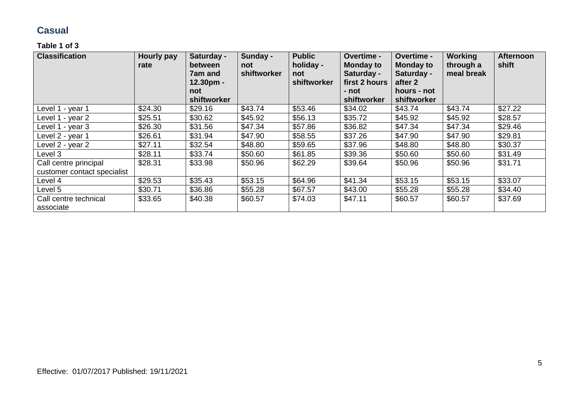### **Casual**

| <b>Classification</b>                                | <b>Hourly pay</b><br>rate | Saturday -<br>between<br><b>7am and</b><br>12.30pm -<br>not<br>shiftworker | Sunday -<br>not<br>shiftworker | <b>Public</b><br>holiday -<br>not<br>shiftworker | Overtime -<br><b>Monday to</b><br>Saturday -<br>first 2 hours<br>- not<br>shiftworker | Overtime -<br><b>Monday to</b><br>Saturday -<br>after 2<br>hours - not<br>shiftworker | <b>Working</b><br>through a<br>meal break | <b>Afternoon</b><br>shift |
|------------------------------------------------------|---------------------------|----------------------------------------------------------------------------|--------------------------------|--------------------------------------------------|---------------------------------------------------------------------------------------|---------------------------------------------------------------------------------------|-------------------------------------------|---------------------------|
| Level 1 - year 1                                     | \$24.30                   | \$29.16                                                                    | \$43.74                        | \$53.46                                          | \$34.02                                                                               | \$43.74                                                                               | \$43.74                                   | \$27.22                   |
| Level 1 - year 2                                     | \$25.51                   | \$30.62                                                                    | \$45.92                        | \$56.13                                          | \$35.72                                                                               | \$45.92                                                                               | \$45.92                                   | \$28.57                   |
| Level 1 - year 3                                     | \$26.30                   | \$31.56                                                                    | \$47.34                        | \$57.86                                          | \$36.82                                                                               | \$47.34                                                                               | \$47.34                                   | \$29.46                   |
| Level 2 - year 1                                     | \$26.61                   | \$31.94                                                                    | \$47.90                        | \$58.55                                          | \$37.26                                                                               | \$47.90                                                                               | \$47.90                                   | \$29.81                   |
| Level 2 - year 2                                     | \$27.11                   | \$32.54                                                                    | \$48.80                        | \$59.65                                          | \$37.96                                                                               | \$48.80                                                                               | \$48.80                                   | \$30.37                   |
| Level 3                                              | \$28.11                   | \$33.74                                                                    | \$50.60                        | \$61.85                                          | \$39.36                                                                               | \$50.60                                                                               | \$50.60                                   | \$31.49                   |
| Call centre principal<br>customer contact specialist | \$28.31                   | \$33.98                                                                    | \$50.96                        | \$62.29                                          | \$39.64                                                                               | \$50.96                                                                               | \$50.96                                   | \$31.71                   |
| Level 4                                              | \$29.53                   | \$35.43                                                                    | \$53.15                        | \$64.96                                          | \$41.34                                                                               | \$53.15                                                                               | \$53.15                                   | \$33.07                   |
| Level 5                                              | \$30.71                   | \$36.86                                                                    | \$55.28                        | \$67.57                                          | \$43.00                                                                               | \$55.28                                                                               | \$55.28                                   | \$34.40                   |
| Call centre technical<br>associate                   | \$33.65                   | \$40.38                                                                    | \$60.57                        | \$74.03                                          | \$47.11                                                                               | \$60.57                                                                               | \$60.57                                   | \$37.69                   |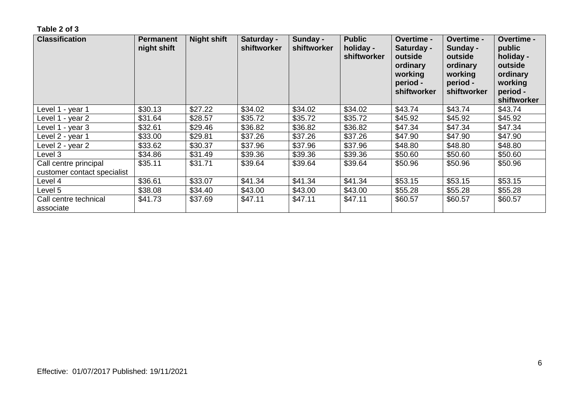| <b>Classification</b>                                | <b>Permanent</b><br>night shift | <b>Night shift</b> | Saturday -<br>shiftworker | Sunday -<br>shiftworker | <b>Public</b><br>holiday -<br>shiftworker | <b>Overtime -</b><br>Saturday -<br>outside<br>ordinary<br>working<br>period -<br>shiftworker | Overtime -<br>Sunday -<br>outside<br>ordinary<br>working<br>period -<br>shiftworker | <b>Overtime -</b><br>public<br>holiday -<br>outside<br>ordinary<br>working<br>period -<br>shiftworker |
|------------------------------------------------------|---------------------------------|--------------------|---------------------------|-------------------------|-------------------------------------------|----------------------------------------------------------------------------------------------|-------------------------------------------------------------------------------------|-------------------------------------------------------------------------------------------------------|
| Level 1 - year 1                                     | \$30.13                         | \$27.22            | \$34.02                   | \$34.02                 | \$34.02                                   | \$43.74                                                                                      | \$43.74                                                                             | \$43.74                                                                                               |
| Level 1 - year 2                                     | \$31.64                         | \$28.57            | \$35.72                   | \$35.72                 | \$35.72                                   | \$45.92                                                                                      | \$45.92                                                                             | \$45.92                                                                                               |
| Level 1 - year 3                                     | \$32.61                         | \$29.46            | \$36.82                   | \$36.82                 | \$36.82                                   | \$47.34                                                                                      | \$47.34                                                                             | \$47.34                                                                                               |
| Level 2 - year 1                                     | \$33.00                         | \$29.81            | \$37.26                   | \$37.26                 | \$37.26                                   | \$47.90                                                                                      | \$47.90                                                                             | \$47.90                                                                                               |
| Level 2 - year 2                                     | \$33.62                         | \$30.37            | \$37.96                   | \$37.96                 | \$37.96                                   | \$48.80                                                                                      | \$48.80                                                                             | \$48.80                                                                                               |
| Level 3                                              | \$34.86                         | \$31.49            | \$39.36                   | \$39.36                 | \$39.36                                   | \$50.60                                                                                      | \$50.60                                                                             | \$50.60                                                                                               |
| Call centre principal<br>customer contact specialist | \$35.11                         | \$31.71            | \$39.64                   | \$39.64                 | \$39.64                                   | \$50.96                                                                                      | \$50.96                                                                             | \$50.96                                                                                               |
| Level 4                                              | \$36.61                         | \$33.07            | \$41.34                   | \$41.34                 | \$41.34                                   | \$53.15                                                                                      | \$53.15                                                                             | \$53.15                                                                                               |
| Level 5                                              | \$38.08                         | \$34.40            | \$43.00                   | \$43.00                 | \$43.00                                   | \$55.28                                                                                      | \$55.28                                                                             | \$55.28                                                                                               |
| Call centre technical<br>associate                   | \$41.73                         | \$37.69            | \$47.11                   | \$47.11                 | \$47.11                                   | \$60.57                                                                                      | \$60.57                                                                             | \$60.57                                                                                               |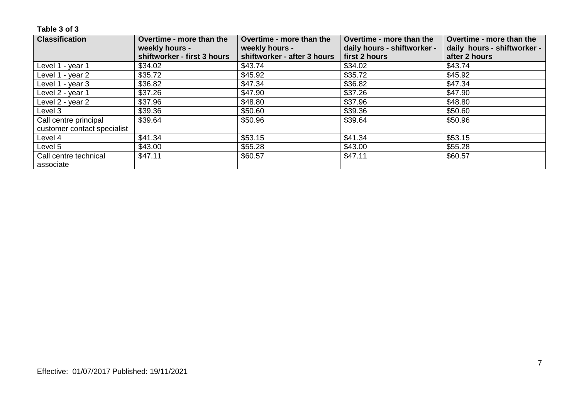| <b>Classification</b>       | Overtime - more than the                      | Overtime - more than the                      | Overtime - more than the                     | Overtime - more than the                     |
|-----------------------------|-----------------------------------------------|-----------------------------------------------|----------------------------------------------|----------------------------------------------|
|                             | weekly hours -<br>shiftworker - first 3 hours | weekly hours -<br>shiftworker - after 3 hours | daily hours - shiftworker -<br>first 2 hours | daily hours - shiftworker -<br>after 2 hours |
| Level 1 - year 1            | \$34.02                                       | \$43.74                                       | \$34.02                                      | \$43.74                                      |
| Level 1 - year 2            | \$35.72                                       | \$45.92                                       | \$35.72                                      | \$45.92                                      |
| Level 1 - year 3            | \$36.82                                       | \$47.34                                       | \$36.82                                      | \$47.34                                      |
| Level 2 - year 1            | \$37.26                                       | \$47.90                                       | \$37.26                                      | \$47.90                                      |
| Level 2 - year 2            | \$37.96                                       | \$48.80                                       | \$37.96                                      | \$48.80                                      |
| Level 3                     | \$39.36                                       | \$50.60                                       | \$39.36                                      | \$50.60                                      |
| Call centre principal       | \$39.64                                       | \$50.96                                       | \$39.64                                      | \$50.96                                      |
| customer contact specialist |                                               |                                               |                                              |                                              |
| Level 4                     | \$41.34                                       | \$53.15                                       | \$41.34                                      | \$53.15                                      |
| Level 5                     | \$43.00                                       | \$55.28                                       | \$43.00                                      | \$55.28                                      |
| Call centre technical       | \$47.11                                       | \$60.57                                       | \$47.11                                      | \$60.57                                      |
| associate                   |                                               |                                               |                                              |                                              |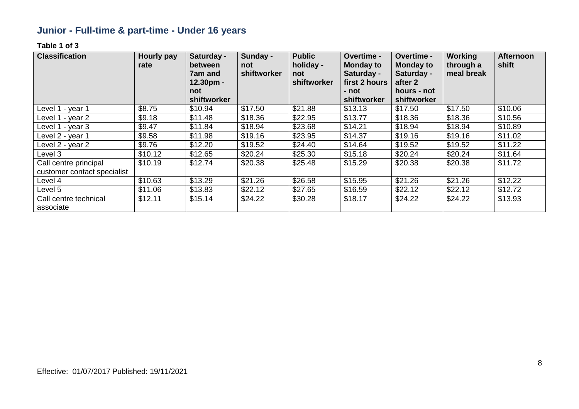# **Junior - Full-time & part-time - Under 16 years**

| <b>Classification</b>                                | <b>Hourly pay</b><br>rate | Saturday -<br>between<br><b>7am and</b><br>$12.30pm -$<br>not | Sunday -<br>not<br>shiftworker | <b>Public</b><br>holiday -<br>not<br>shiftworker | Overtime -<br><b>Monday to</b><br>Saturday -<br>first 2 hours<br>- not | Overtime -<br><b>Monday to</b><br>Saturday -<br>after 2<br>hours - not | <b>Working</b><br>through a<br>meal break | <b>Afternoon</b><br>shift |
|------------------------------------------------------|---------------------------|---------------------------------------------------------------|--------------------------------|--------------------------------------------------|------------------------------------------------------------------------|------------------------------------------------------------------------|-------------------------------------------|---------------------------|
|                                                      |                           | shiftworker                                                   |                                |                                                  | shiftworker                                                            | shiftworker                                                            |                                           |                           |
| Level 1 - year 1                                     | \$8.75                    | \$10.94                                                       | \$17.50                        | \$21.88                                          | \$13.13                                                                | \$17.50                                                                | \$17.50                                   | \$10.06                   |
| Level 1 - year 2                                     | \$9.18                    | \$11.48                                                       | \$18.36                        | \$22.95                                          | \$13.77                                                                | \$18.36                                                                | \$18.36                                   | \$10.56                   |
| Level 1 - year 3                                     | \$9.47                    | \$11.84                                                       | \$18.94                        | \$23.68                                          | \$14.21                                                                | \$18.94                                                                | \$18.94                                   | \$10.89                   |
| Level 2 - year 1                                     | \$9.58                    | \$11.98                                                       | \$19.16                        | \$23.95                                          | \$14.37                                                                | \$19.16                                                                | \$19.16                                   | \$11.02                   |
| Level 2 - year 2                                     | \$9.76                    | \$12.20                                                       | \$19.52                        | \$24.40                                          | \$14.64                                                                | \$19.52                                                                | \$19.52                                   | \$11.22                   |
| Level 3                                              | \$10.12                   | \$12.65                                                       | \$20.24                        | \$25.30                                          | \$15.18                                                                | \$20.24                                                                | \$20.24                                   | \$11.64                   |
| Call centre principal<br>customer contact specialist | \$10.19                   | \$12.74                                                       | \$20.38                        | \$25.48                                          | \$15.29                                                                | \$20.38                                                                | \$20.38                                   | \$11.72                   |
| Level 4                                              | \$10.63                   | \$13.29                                                       | \$21.26                        | \$26.58                                          | \$15.95                                                                | \$21.26                                                                | \$21.26                                   | \$12.22                   |
| Level 5                                              | \$11.06                   | \$13.83                                                       | \$22.12                        | \$27.65                                          | \$16.59                                                                | \$22.12                                                                | \$22.12                                   | \$12.72                   |
| Call centre technical<br>associate                   | \$12.11                   | \$15.14                                                       | \$24.22                        | \$30.28                                          | \$18.17                                                                | \$24.22                                                                | \$24.22                                   | \$13.93                   |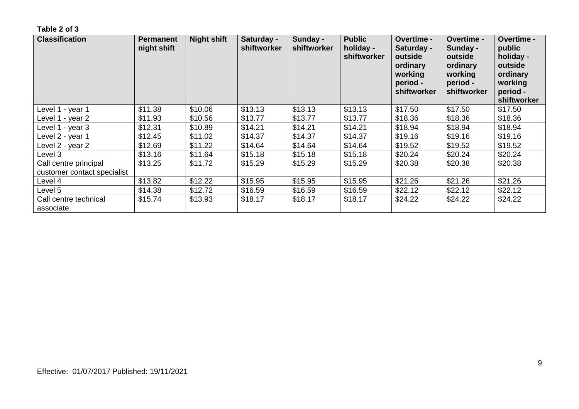| <b>Classification</b>                                | <b>Permanent</b><br>night shift | <b>Night shift</b> | Saturday -<br>shiftworker | Sunday -<br>shiftworker | <b>Public</b><br>holiday -<br>shiftworker | <b>Overtime -</b><br>Saturday -<br>outside<br>ordinary<br>working<br>period -<br>shiftworker | <b>Overtime -</b><br>Sunday -<br>outside<br>ordinary<br>working<br>period -<br>shiftworker | <b>Overtime -</b><br>public<br>holiday -<br>outside<br>ordinary<br>working<br>period -<br>shiftworker |
|------------------------------------------------------|---------------------------------|--------------------|---------------------------|-------------------------|-------------------------------------------|----------------------------------------------------------------------------------------------|--------------------------------------------------------------------------------------------|-------------------------------------------------------------------------------------------------------|
| Level 1 - year 1                                     | \$11.38                         | \$10.06            | \$13.13                   | \$13.13                 | \$13.13                                   | \$17.50                                                                                      | \$17.50                                                                                    | \$17.50                                                                                               |
| Level 1 - year 2                                     | \$11.93                         | \$10.56            | \$13.77                   | \$13.77                 | \$13.77                                   | \$18.36                                                                                      | \$18.36                                                                                    | \$18.36                                                                                               |
| Level 1 - year 3                                     | \$12.31                         | \$10.89            | \$14.21                   | \$14.21                 | \$14.21                                   | \$18.94                                                                                      | \$18.94                                                                                    | \$18.94                                                                                               |
| Level 2 - year 1                                     | \$12.45                         | \$11.02            | \$14.37                   | \$14.37                 | \$14.37                                   | \$19.16                                                                                      | \$19.16                                                                                    | \$19.16                                                                                               |
| Level 2 - year 2                                     | \$12.69                         | \$11.22            | \$14.64                   | \$14.64                 | \$14.64                                   | \$19.52                                                                                      | \$19.52                                                                                    | \$19.52                                                                                               |
| Level 3                                              | \$13.16                         | \$11.64            | \$15.18                   | \$15.18                 | \$15.18                                   | \$20.24                                                                                      | \$20.24                                                                                    | \$20.24                                                                                               |
| Call centre principal<br>customer contact specialist | \$13.25                         | \$11.72            | \$15.29                   | \$15.29                 | \$15.29                                   | \$20.38                                                                                      | \$20.38                                                                                    | \$20.38                                                                                               |
| Level 4                                              | \$13.82                         | \$12.22            | \$15.95                   | \$15.95                 | \$15.95                                   | \$21.26                                                                                      | \$21.26                                                                                    | \$21.26                                                                                               |
| Level 5                                              | \$14.38                         | \$12.72            | \$16.59                   | \$16.59                 | \$16.59                                   | \$22.12                                                                                      | \$22.12                                                                                    | \$22.12                                                                                               |
| Call centre technical<br>associate                   | \$15.74                         | \$13.93            | \$18.17                   | \$18.17                 | \$18.17                                   | \$24.22                                                                                      | \$24.22                                                                                    | \$24.22                                                                                               |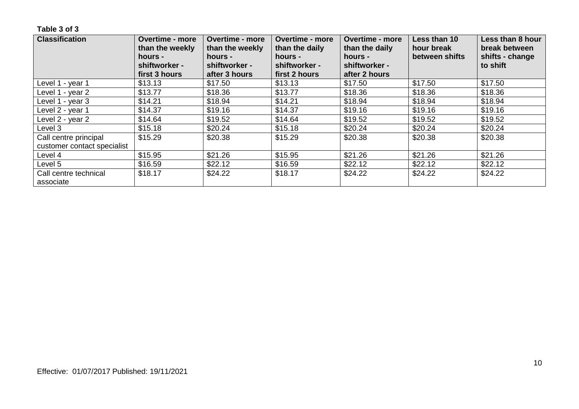| <b>Classification</b>              | <b>Overtime - more</b><br>than the weekly<br>hours - | <b>Overtime - more</b><br>than the weekly<br>hours - | <b>Overtime - more</b><br>than the daily<br>hours - | <b>Overtime - more</b><br>than the daily<br>hours - | Less than 10<br>hour break<br>between shifts | Less than 8 hour<br>break between<br>shifts - change |
|------------------------------------|------------------------------------------------------|------------------------------------------------------|-----------------------------------------------------|-----------------------------------------------------|----------------------------------------------|------------------------------------------------------|
|                                    | shiftworker -<br>first 3 hours                       | shiftworker -<br>after 3 hours                       | shiftworker -<br>first 2 hours                      | shiftworker -<br>after 2 hours                      |                                              | to shift                                             |
| Level 1 - year 1                   | \$13.13                                              | \$17.50                                              | \$13.13                                             | \$17.50                                             | \$17.50                                      | \$17.50                                              |
| Level 1 - year 2                   | \$13.77                                              | \$18.36                                              | \$13.77                                             | \$18.36                                             | \$18.36                                      | \$18.36                                              |
| Level 1 - year 3                   | \$14.21                                              | \$18.94                                              | \$14.21                                             | \$18.94                                             | \$18.94                                      | \$18.94                                              |
| Level 2 - year 1                   | \$14.37                                              | \$19.16                                              | \$14.37                                             | \$19.16                                             | \$19.16                                      | \$19.16                                              |
| Level 2 - year 2                   | \$14.64                                              | \$19.52                                              | \$14.64                                             | \$19.52                                             | \$19.52                                      | \$19.52                                              |
| Level 3                            | \$15.18                                              | \$20.24                                              | \$15.18                                             | \$20.24                                             | \$20.24                                      | \$20.24                                              |
| Call centre principal              | \$15.29                                              | \$20.38                                              | \$15.29                                             | \$20.38                                             | \$20.38                                      | \$20.38                                              |
| customer contact specialist        |                                                      |                                                      |                                                     |                                                     |                                              |                                                      |
| Level 4                            | \$15.95                                              | \$21.26                                              | \$15.95                                             | \$21.26                                             | \$21.26                                      | \$21.26                                              |
| Level 5                            | \$16.59                                              | \$22.12                                              | \$16.59                                             | \$22.12                                             | \$22.12                                      | \$22.12                                              |
| Call centre technical<br>associate | \$18.17                                              | \$24.22                                              | \$18.17                                             | \$24.22                                             | \$24.22                                      | \$24.22                                              |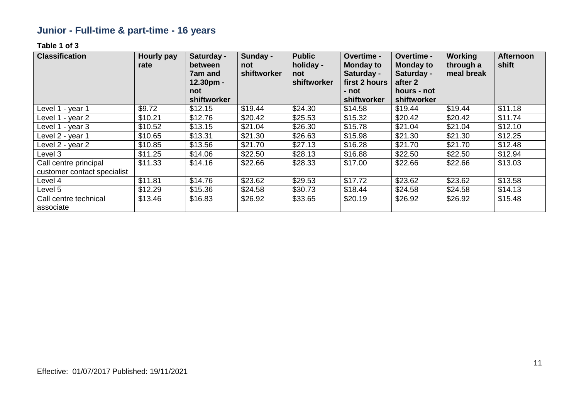# **Junior - Full-time & part-time - 16 years**

| <b>Classification</b>                                | <b>Hourly pay</b><br>rate | Saturday -<br>between<br>7am and<br>$12.30pm -$<br>not<br>shiftworker | Sunday -<br>not<br>shiftworker | <b>Public</b><br>holiday -<br>not<br>shiftworker | Overtime -<br><b>Monday to</b><br>Saturday -<br>first 2 hours<br>- not<br>shiftworker | <b>Overtime -</b><br><b>Monday to</b><br>Saturday -<br>after 2<br>hours - not<br>shiftworker | <b>Working</b><br>through a<br>meal break | <b>Afternoon</b><br>shift |
|------------------------------------------------------|---------------------------|-----------------------------------------------------------------------|--------------------------------|--------------------------------------------------|---------------------------------------------------------------------------------------|----------------------------------------------------------------------------------------------|-------------------------------------------|---------------------------|
| Level 1 - year 1                                     | \$9.72                    | \$12.15                                                               | \$19.44                        | \$24.30                                          | \$14.58                                                                               | \$19.44                                                                                      | \$19.44                                   | \$11.18                   |
| Level 1 - year 2                                     | \$10.21                   | \$12.76                                                               | \$20.42                        | \$25.53                                          | \$15.32                                                                               | \$20.42                                                                                      | \$20.42                                   | \$11.74                   |
| Level 1 - year 3                                     | \$10.52                   | \$13.15                                                               | \$21.04                        | \$26.30                                          | \$15.78                                                                               | \$21.04                                                                                      | \$21.04                                   | \$12.10                   |
| Level 2 - year 1                                     | \$10.65                   | \$13.31                                                               | \$21.30                        | \$26.63                                          | \$15.98                                                                               | \$21.30                                                                                      | \$21.30                                   | \$12.25                   |
| Level 2 - year 2                                     | \$10.85                   | \$13.56                                                               | \$21.70                        | \$27.13                                          | \$16.28                                                                               | \$21.70                                                                                      | \$21.70                                   | \$12.48                   |
| Level 3                                              | \$11.25                   | \$14.06                                                               | \$22.50                        | \$28.13                                          | \$16.88                                                                               | \$22.50                                                                                      | \$22.50                                   | \$12.94                   |
| Call centre principal<br>customer contact specialist | \$11.33                   | \$14.16                                                               | \$22.66                        | \$28.33                                          | \$17.00                                                                               | \$22.66                                                                                      | \$22.66                                   | \$13.03                   |
| Level 4                                              | \$11.81                   | \$14.76                                                               | \$23.62                        | \$29.53                                          | \$17.72                                                                               | \$23.62                                                                                      | \$23.62                                   | \$13.58                   |
| Level 5                                              | \$12.29                   | \$15.36                                                               | \$24.58                        | \$30.73                                          | \$18.44                                                                               | \$24.58                                                                                      | \$24.58                                   | \$14.13                   |
| Call centre technical<br>associate                   | \$13.46                   | \$16.83                                                               | \$26.92                        | \$33.65                                          | \$20.19                                                                               | \$26.92                                                                                      | \$26.92                                   | \$15.48                   |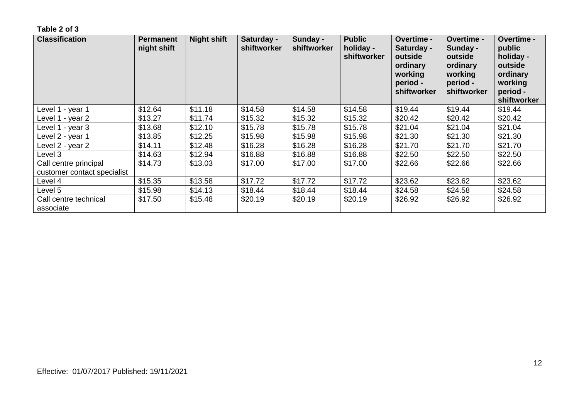| <b>Classification</b>                                | Permanent<br>night shift | <b>Night shift</b> | Saturday -<br>shiftworker | Sunday -<br>shiftworker | <b>Public</b><br>holiday -<br>shiftworker | Overtime -<br>Saturday -<br>outside<br>ordinary<br>working<br>period -<br>shiftworker | Overtime -<br>Sunday -<br>outside<br>ordinary<br>working<br>period -<br>shiftworker | <b>Overtime -</b><br>public<br>holiday -<br>outside<br>ordinary<br>working<br>period -<br>shiftworker |
|------------------------------------------------------|--------------------------|--------------------|---------------------------|-------------------------|-------------------------------------------|---------------------------------------------------------------------------------------|-------------------------------------------------------------------------------------|-------------------------------------------------------------------------------------------------------|
| Level 1 - year 1                                     | \$12.64                  | \$11.18            | \$14.58                   | \$14.58                 | \$14.58                                   | \$19.44                                                                               | \$19.44                                                                             | \$19.44                                                                                               |
| Level 1 - year 2                                     | \$13.27                  | \$11.74            | \$15.32                   | \$15.32                 | \$15.32                                   | \$20.42                                                                               | \$20.42                                                                             | \$20.42                                                                                               |
| Level 1 - year 3                                     | \$13.68                  | \$12.10            | \$15.78                   | \$15.78                 | \$15.78                                   | \$21.04                                                                               | \$21.04                                                                             | \$21.04                                                                                               |
| Level 2 - year 1                                     | \$13.85                  | \$12.25            | \$15.98                   | \$15.98                 | \$15.98                                   | \$21.30                                                                               | \$21.30                                                                             | \$21.30                                                                                               |
| Level 2 - year 2                                     | \$14.11                  | \$12.48            | \$16.28                   | \$16.28                 | \$16.28                                   | \$21.70                                                                               | \$21.70                                                                             | \$21.70                                                                                               |
| Level 3                                              | \$14.63                  | \$12.94            | \$16.88                   | \$16.88                 | \$16.88                                   | \$22.50                                                                               | \$22.50                                                                             | \$22.50                                                                                               |
| Call centre principal<br>customer contact specialist | \$14.73                  | \$13.03            | \$17.00                   | \$17.00                 | \$17.00                                   | \$22.66                                                                               | \$22.66                                                                             | \$22.66                                                                                               |
| Level 4                                              | \$15.35                  | \$13.58            | \$17.72                   | \$17.72                 | \$17.72                                   | \$23.62                                                                               | \$23.62                                                                             | \$23.62                                                                                               |
| Level 5                                              | \$15.98                  | \$14.13            | \$18.44                   | \$18.44                 | \$18.44                                   | \$24.58                                                                               | \$24.58                                                                             | \$24.58                                                                                               |
| Call centre technical<br>associate                   | \$17.50                  | \$15.48            | \$20.19                   | \$20.19                 | \$20.19                                   | \$26.92                                                                               | \$26.92                                                                             | \$26.92                                                                                               |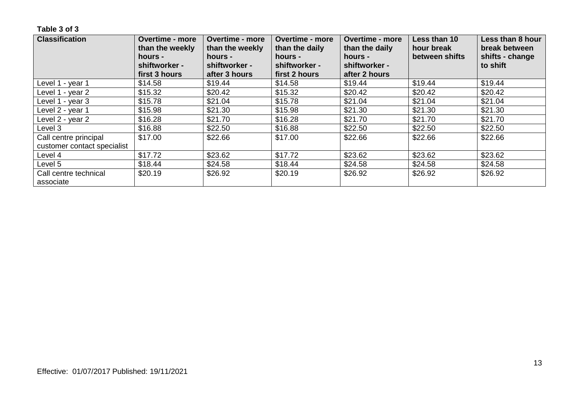| <b>Classification</b>              | <b>Overtime - more</b><br>than the weekly<br>hours - | <b>Overtime - more</b><br>than the weekly<br>hours - | <b>Overtime - more</b><br>than the daily<br>hours - | <b>Overtime - more</b><br>than the daily<br>hours - | Less than 10<br>hour break<br>between shifts | Less than 8 hour<br>break between<br>shifts - change |
|------------------------------------|------------------------------------------------------|------------------------------------------------------|-----------------------------------------------------|-----------------------------------------------------|----------------------------------------------|------------------------------------------------------|
|                                    | shiftworker -<br>first 3 hours                       | shiftworker -<br>after 3 hours                       | shiftworker -<br>first 2 hours                      | shiftworker -<br>after 2 hours                      |                                              | to shift                                             |
| Level 1 - year 1                   | \$14.58                                              | \$19.44                                              | \$14.58                                             | \$19.44                                             | \$19.44                                      | \$19.44                                              |
| Level 1 - year 2                   | \$15.32                                              | \$20.42                                              | \$15.32                                             | \$20.42                                             | \$20.42                                      | \$20.42                                              |
| Level 1 - year 3                   | \$15.78                                              | \$21.04                                              | \$15.78                                             | \$21.04                                             | \$21.04                                      | \$21.04                                              |
| Level 2 - year 1                   | \$15.98                                              | \$21.30                                              | \$15.98                                             | \$21.30                                             | \$21.30                                      | \$21.30                                              |
| Level 2 - year 2                   | \$16.28                                              | \$21.70                                              | \$16.28                                             | \$21.70                                             | \$21.70                                      | \$21.70                                              |
| Level 3                            | \$16.88                                              | \$22.50                                              | \$16.88                                             | \$22.50                                             | \$22.50                                      | \$22.50                                              |
| Call centre principal              | \$17.00                                              | \$22.66                                              | \$17.00                                             | \$22.66                                             | \$22.66                                      | \$22.66                                              |
| customer contact specialist        |                                                      |                                                      |                                                     |                                                     |                                              |                                                      |
| Level 4                            | \$17.72                                              | \$23.62                                              | \$17.72                                             | \$23.62                                             | \$23.62                                      | \$23.62                                              |
| Level 5                            | \$18.44                                              | \$24.58                                              | \$18.44                                             | \$24.58                                             | \$24.58                                      | \$24.58                                              |
| Call centre technical<br>associate | \$20.19                                              | \$26.92                                              | \$20.19                                             | \$26.92                                             | \$26.92                                      | \$26.92                                              |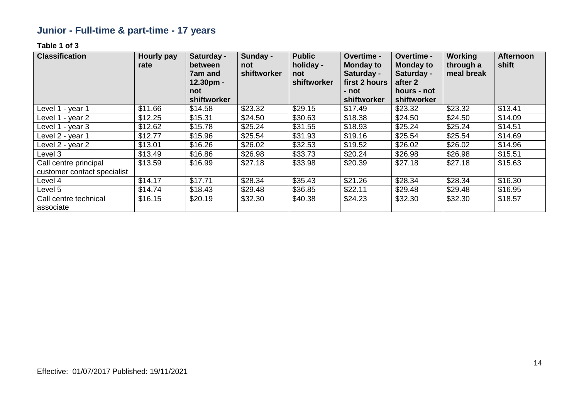# **Junior - Full-time & part-time - 17 years**

| <b>Classification</b>                                | <b>Hourly pay</b><br>rate | Saturday -<br>between<br>7am and<br>$12.30pm -$ | Sunday -<br>not<br>shiftworker | <b>Public</b><br>holiday -<br>not<br>shiftworker | <b>Overtime -</b><br><b>Monday to</b><br>Saturday -<br>first 2 hours | Overtime -<br><b>Monday to</b><br>Saturday -<br>after 2 | <b>Working</b><br>through a<br>meal break | <b>Afternoon</b><br>shift |
|------------------------------------------------------|---------------------------|-------------------------------------------------|--------------------------------|--------------------------------------------------|----------------------------------------------------------------------|---------------------------------------------------------|-------------------------------------------|---------------------------|
|                                                      |                           | not<br>shiftworker                              |                                |                                                  | - not<br>shiftworker                                                 | hours - not<br>shiftworker                              |                                           |                           |
| Level 1 - year 1                                     | \$11.66                   | \$14.58                                         | \$23.32                        | \$29.15                                          | \$17.49                                                              | \$23.32                                                 | \$23.32                                   | \$13.41                   |
| Level 1 - year 2                                     | \$12.25                   | \$15.31                                         | \$24.50                        | \$30.63                                          | \$18.38                                                              | \$24.50                                                 | \$24.50                                   | \$14.09                   |
| Level 1 - year 3                                     | \$12.62                   | \$15.78                                         | \$25.24                        | \$31.55                                          | \$18.93                                                              | \$25.24                                                 | \$25.24                                   | \$14.51                   |
| Level 2 - year 1                                     | \$12.77                   | \$15.96                                         | \$25.54                        | \$31.93                                          | \$19.16                                                              | \$25.54                                                 | \$25.54                                   | \$14.69                   |
| Level 2 - year 2                                     | \$13.01                   | \$16.26                                         | \$26.02                        | \$32.53                                          | \$19.52                                                              | \$26.02                                                 | \$26.02                                   | \$14.96                   |
| Level 3                                              | \$13.49                   | \$16.86                                         | \$26.98                        | \$33.73                                          | \$20.24                                                              | \$26.98                                                 | \$26.98                                   | \$15.51                   |
| Call centre principal<br>customer contact specialist | \$13.59                   | \$16.99                                         | \$27.18                        | \$33.98                                          | \$20.39                                                              | \$27.18                                                 | \$27.18                                   | \$15.63                   |
| Level 4                                              | \$14.17                   | \$17.71                                         | \$28.34                        | \$35.43                                          | \$21.26                                                              | \$28.34                                                 | \$28.34                                   | \$16.30                   |
| Level 5                                              | \$14.74                   | \$18.43                                         | \$29.48                        | \$36.85                                          | \$22.11                                                              | \$29.48                                                 | \$29.48                                   | \$16.95                   |
| Call centre technical<br>associate                   | \$16.15                   | \$20.19                                         | \$32.30                        | \$40.38                                          | \$24.23                                                              | \$32.30                                                 | \$32.30                                   | \$18.57                   |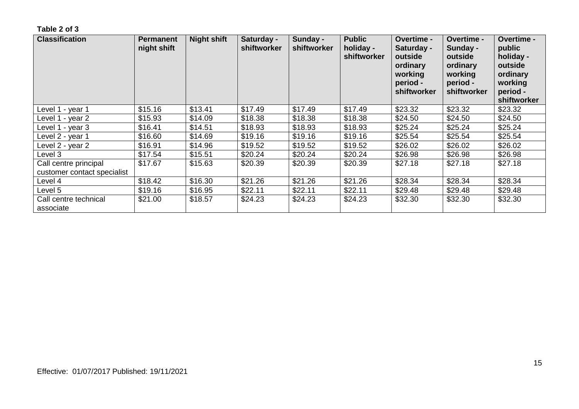| <b>Classification</b>                                | <b>Permanent</b><br>night shift | <b>Night shift</b> | Saturday -<br>shiftworker | Sunday -<br>shiftworker | <b>Public</b><br>holiday -<br>shiftworker | Overtime -<br>Saturday -<br>outside<br>ordinary<br>working<br>period -<br>shiftworker | Overtime -<br>Sunday -<br>outside<br>ordinary<br>working<br>period -<br>shiftworker | <b>Overtime -</b><br>public<br>holiday -<br>outside<br>ordinary<br>working<br>period -<br>shiftworker |
|------------------------------------------------------|---------------------------------|--------------------|---------------------------|-------------------------|-------------------------------------------|---------------------------------------------------------------------------------------|-------------------------------------------------------------------------------------|-------------------------------------------------------------------------------------------------------|
| Level 1 - year 1                                     | \$15.16                         | \$13.41            | \$17.49                   | \$17.49                 | \$17.49                                   | \$23.32                                                                               | \$23.32                                                                             | \$23.32                                                                                               |
| Level 1 - year 2                                     | \$15.93                         | \$14.09            | \$18.38                   | \$18.38                 | \$18.38                                   | \$24.50                                                                               | \$24.50                                                                             | \$24.50                                                                                               |
| Level 1 - year 3                                     | \$16.41                         | \$14.51            | \$18.93                   | \$18.93                 | \$18.93                                   | \$25.24                                                                               | \$25.24                                                                             | \$25.24                                                                                               |
| Level 2 - year 1                                     | \$16.60                         | \$14.69            | \$19.16                   | \$19.16                 | \$19.16                                   | \$25.54                                                                               | \$25.54                                                                             | \$25.54                                                                                               |
| Level 2 - year 2                                     | \$16.91                         | \$14.96            | \$19.52                   | \$19.52                 | \$19.52                                   | \$26.02                                                                               | \$26.02                                                                             | \$26.02                                                                                               |
| Level 3                                              | \$17.54                         | \$15.51            | \$20.24                   | \$20.24                 | \$20.24                                   | \$26.98                                                                               | \$26.98                                                                             | \$26.98                                                                                               |
| Call centre principal<br>customer contact specialist | \$17.67                         | \$15.63            | \$20.39                   | \$20.39                 | \$20.39                                   | \$27.18                                                                               | \$27.18                                                                             | \$27.18                                                                                               |
| Level 4                                              | \$18.42                         | \$16.30            | \$21.26                   | \$21.26                 | \$21.26                                   | \$28.34                                                                               | \$28.34                                                                             | \$28.34                                                                                               |
| Level 5                                              | \$19.16                         | \$16.95            | \$22.11                   | \$22.11                 | \$22.11                                   | \$29.48                                                                               | \$29.48                                                                             | \$29.48                                                                                               |
| Call centre technical<br>associate                   | \$21.00                         | \$18.57            | \$24.23                   | \$24.23                 | \$24.23                                   | \$32.30                                                                               | \$32.30                                                                             | \$32.30                                                                                               |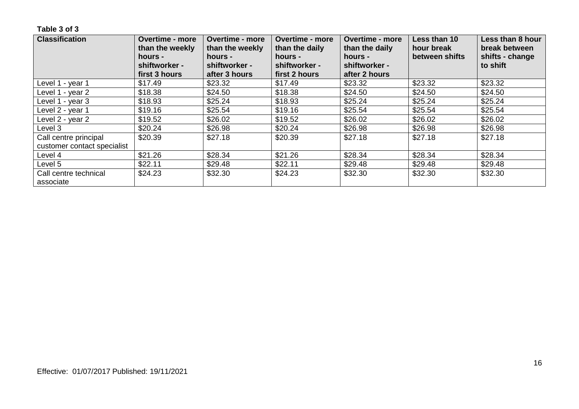| <b>Classification</b>              | <b>Overtime - more</b><br>than the weekly<br>hours - | <b>Overtime - more</b><br>than the weekly<br>hours - | <b>Overtime - more</b><br><b>Overtime - more</b><br>than the daily<br>than the daily<br>hours -<br>hours -<br>shiftworker -<br>shiftworker - |               | Less than 10<br>hour break<br>between shifts | Less than 8 hour<br>break between<br>shifts - change |
|------------------------------------|------------------------------------------------------|------------------------------------------------------|----------------------------------------------------------------------------------------------------------------------------------------------|---------------|----------------------------------------------|------------------------------------------------------|
|                                    | shiftworker -<br>first 3 hours                       | shiftworker -<br>after 3 hours                       | first 2 hours                                                                                                                                | after 2 hours |                                              | to shift                                             |
| Level 1 - year 1                   | \$17.49                                              | \$23.32                                              | \$17.49                                                                                                                                      | \$23.32       | \$23.32                                      | \$23.32                                              |
| Level 1 - year 2                   | \$18.38                                              | \$24.50                                              | \$18.38                                                                                                                                      | \$24.50       | \$24.50                                      | \$24.50                                              |
| Level 1 - year 3                   | \$18.93                                              | \$25.24                                              | \$18.93                                                                                                                                      | \$25.24       | \$25.24                                      | \$25.24                                              |
| Level 2 - year 1                   | \$19.16                                              | \$25.54                                              | \$19.16                                                                                                                                      | \$25.54       | \$25.54                                      | \$25.54                                              |
| Level 2 - year 2                   | \$19.52                                              | \$26.02                                              | \$19.52                                                                                                                                      | \$26.02       | \$26.02                                      | \$26.02                                              |
| Level 3                            | \$20.24                                              | \$26.98                                              | \$20.24                                                                                                                                      | \$26.98       | \$26.98                                      | \$26.98                                              |
| Call centre principal              | \$20.39                                              | \$27.18                                              | \$20.39                                                                                                                                      | \$27.18       | \$27.18                                      | \$27.18                                              |
| customer contact specialist        |                                                      |                                                      |                                                                                                                                              |               |                                              |                                                      |
| Level 4                            | \$21.26                                              | \$28.34                                              | \$21.26                                                                                                                                      | \$28.34       | \$28.34                                      | \$28.34                                              |
| Level 5                            | \$22.11                                              | \$29.48                                              | \$22.11                                                                                                                                      | \$29.48       | \$29.48                                      | \$29.48                                              |
| Call centre technical<br>associate | \$24.23                                              | \$32.30                                              | \$24.23                                                                                                                                      | \$32.30       | \$32.30                                      | \$32.30                                              |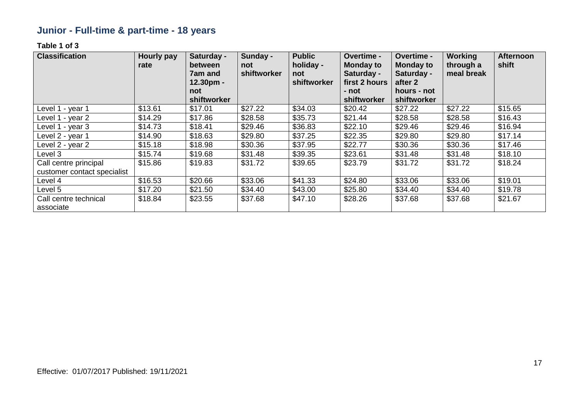# **Junior - Full-time & part-time - 18 years**

| <b>Classification</b>              | Hourly pay<br>rate | Saturday -<br>between<br>7am and<br>12.30pm -<br>not | Sunday -<br>not<br>shiftworker | <b>Public</b><br>holiday -<br>not<br>shiftworker | Overtime -<br><b>Monday to</b><br>Saturday -<br>first 2 hours<br>- not | <b>Overtime -</b><br><b>Monday to</b><br>Saturday -<br>after 2<br>hours - not | <b>Working</b><br>through a<br>meal break | <b>Afternoon</b><br>shift |
|------------------------------------|--------------------|------------------------------------------------------|--------------------------------|--------------------------------------------------|------------------------------------------------------------------------|-------------------------------------------------------------------------------|-------------------------------------------|---------------------------|
|                                    |                    | shiftworker                                          |                                |                                                  | shiftworker                                                            | shiftworker                                                                   |                                           |                           |
| Level 1 - year 1                   | \$13.61            | \$17.01                                              | \$27.22                        | \$34.03                                          | \$20.42                                                                | \$27.22                                                                       | \$27.22                                   | \$15.65                   |
| Level 1 - year 2                   | \$14.29            | \$17.86                                              | \$28.58                        | \$35.73                                          | \$21.44                                                                | \$28.58                                                                       | \$28.58                                   | \$16.43                   |
| Level 1 - year 3                   | \$14.73            | \$18.41                                              | \$29.46                        | \$36.83                                          | \$22.10                                                                | \$29.46                                                                       | \$29.46                                   | \$16.94                   |
| Level 2 - year 1                   | \$14.90            | \$18.63                                              | \$29.80                        | \$37.25                                          | \$22.35                                                                | \$29.80                                                                       | \$29.80                                   | \$17.14                   |
| Level 2 - year 2                   | \$15.18            | \$18.98                                              | \$30.36                        | \$37.95                                          | \$22.77                                                                | \$30.36                                                                       | \$30.36                                   | \$17.46                   |
| Level 3                            | \$15.74            | \$19.68                                              | \$31.48                        | \$39.35                                          | \$23.61                                                                | \$31.48                                                                       | \$31.48                                   | \$18.10                   |
| Call centre principal              | \$15.86            | \$19.83                                              | \$31.72                        | \$39.65                                          | \$23.79                                                                | \$31.72                                                                       | \$31.72                                   | \$18.24                   |
| customer contact specialist        |                    |                                                      |                                |                                                  |                                                                        |                                                                               |                                           |                           |
| Level 4                            | \$16.53            | \$20.66                                              | \$33.06                        | \$41.33                                          | \$24.80                                                                | \$33.06                                                                       | \$33.06                                   | \$19.01                   |
| Level 5                            | \$17.20            | \$21.50                                              | \$34.40                        | \$43.00                                          | \$25.80                                                                | \$34.40                                                                       | \$34.40                                   | \$19.78                   |
| Call centre technical<br>associate | \$18.84            | \$23.55                                              | \$37.68                        | \$47.10                                          | \$28.26                                                                | \$37.68                                                                       | \$37.68                                   | \$21.67                   |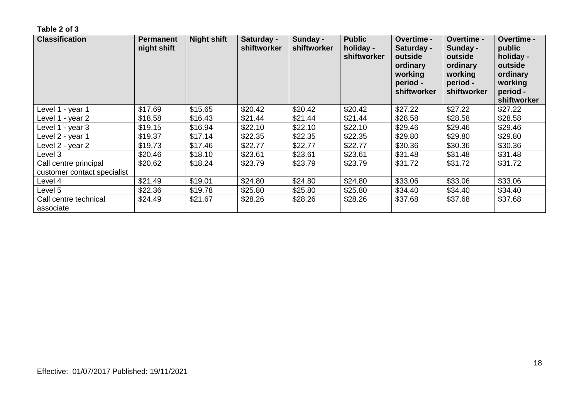| <b>Classification</b>                                | <b>Permanent</b><br>night shift | <b>Night shift</b> | Saturday -<br>shiftworker | Sunday -<br>shiftworker | <b>Public</b><br>holiday -<br>shiftworker | <b>Overtime -</b><br>Saturday -<br>outside<br>ordinary<br>working<br>period -<br>shiftworker | <b>Overtime -</b><br>Sunday -<br>outside<br>ordinary<br>working<br>period -<br>shiftworker | <b>Overtime -</b><br>public<br>holiday -<br>outside<br>ordinary<br>working<br>period -<br>shiftworker |
|------------------------------------------------------|---------------------------------|--------------------|---------------------------|-------------------------|-------------------------------------------|----------------------------------------------------------------------------------------------|--------------------------------------------------------------------------------------------|-------------------------------------------------------------------------------------------------------|
| ∟evel 1 - year 1                                     | \$17.69                         | \$15.65            | \$20.42                   | \$20.42                 | \$20.42                                   | \$27.22                                                                                      | \$27.22                                                                                    | \$27.22                                                                                               |
| Level 1 - year 2                                     | \$18.58                         | \$16.43            | \$21.44                   | \$21.44                 | \$21.44                                   | \$28.58                                                                                      | \$28.58                                                                                    | \$28.58                                                                                               |
| Level 1 - year 3                                     | \$19.15                         | \$16.94            | \$22.10                   | \$22.10                 | \$22.10                                   | \$29.46                                                                                      | \$29.46                                                                                    | \$29.46                                                                                               |
| Level 2 - year 1                                     | \$19.37                         | \$17.14            | \$22.35                   | \$22.35                 | \$22.35                                   | \$29.80                                                                                      | \$29.80                                                                                    | \$29.80                                                                                               |
| Level 2 - year 2                                     | \$19.73                         | \$17.46            | \$22.77                   | \$22.77                 | \$22.77                                   | \$30.36                                                                                      | \$30.36                                                                                    | \$30.36                                                                                               |
| Level 3                                              | \$20.46                         | \$18.10            | \$23.61                   | \$23.61                 | \$23.61                                   | \$31.48                                                                                      | \$31.48                                                                                    | \$31.48                                                                                               |
| Call centre principal<br>customer contact specialist | \$20.62                         | \$18.24            | \$23.79                   | \$23.79                 | \$23.79                                   | \$31.72                                                                                      | \$31.72                                                                                    | \$31.72                                                                                               |
| Level 4                                              | \$21.49                         | \$19.01            | \$24.80                   | \$24.80                 | \$24.80                                   | \$33.06                                                                                      | \$33.06                                                                                    | \$33.06                                                                                               |
| Level 5                                              | \$22.36                         | \$19.78            | \$25.80                   | \$25.80                 | \$25.80                                   | \$34.40                                                                                      | \$34.40                                                                                    | \$34.40                                                                                               |
| Call centre technical<br>associate                   | \$24.49                         | \$21.67            | \$28.26                   | \$28.26                 | \$28.26                                   | \$37.68                                                                                      | \$37.68                                                                                    | \$37.68                                                                                               |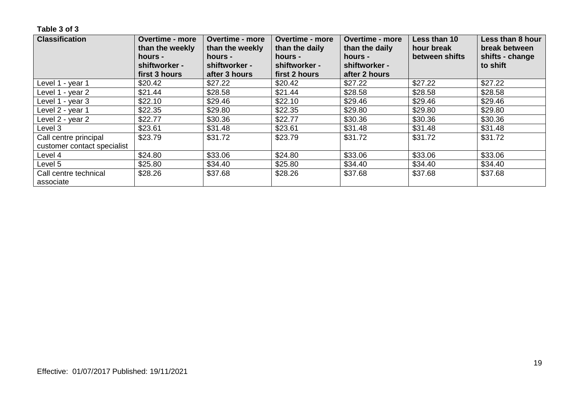| <b>Classification</b>              | <b>Overtime - more</b><br>than the weekly<br>hours -<br>shiftworker - | <b>Overtime - more</b><br>than the weekly<br>hours -<br>shiftworker - | <b>Overtime - more</b><br>than the daily<br>hours -<br>shiftworker - | <b>Overtime - more</b><br>than the daily<br>hours -<br>shiftworker - | Less than 10<br>hour break<br>between shifts | Less than 8 hour<br>break between<br>shifts - change<br>to shift |
|------------------------------------|-----------------------------------------------------------------------|-----------------------------------------------------------------------|----------------------------------------------------------------------|----------------------------------------------------------------------|----------------------------------------------|------------------------------------------------------------------|
|                                    | first 3 hours                                                         | after 3 hours                                                         | first 2 hours                                                        | after 2 hours                                                        |                                              |                                                                  |
| Level 1 - year 1                   | \$20.42                                                               | \$27.22                                                               | \$20.42                                                              | \$27.22                                                              | \$27.22                                      | \$27.22                                                          |
| Level 1 - year 2                   | \$21.44                                                               | \$28.58                                                               | \$21.44                                                              | \$28.58                                                              | \$28.58                                      | \$28.58                                                          |
| Level 1 - year 3                   | \$22.10                                                               | \$29.46                                                               | \$22.10                                                              | \$29.46                                                              | \$29.46                                      | \$29.46                                                          |
| Level 2 - year 1                   | \$22.35                                                               | \$29.80                                                               | \$22.35                                                              | \$29.80                                                              | \$29.80                                      | \$29.80                                                          |
| Level 2 - year 2                   | \$22.77                                                               | \$30.36                                                               | \$22.77                                                              | \$30.36                                                              | \$30.36                                      | \$30.36                                                          |
| Level 3                            | \$23.61                                                               | \$31.48                                                               | \$23.61                                                              | \$31.48                                                              | \$31.48                                      | \$31.48                                                          |
| Call centre principal              | \$23.79                                                               | \$31.72                                                               | \$23.79                                                              | \$31.72                                                              | \$31.72                                      | \$31.72                                                          |
| customer contact specialist        |                                                                       |                                                                       |                                                                      |                                                                      |                                              |                                                                  |
| Level 4                            | \$24.80                                                               | \$33.06                                                               | \$24.80                                                              | \$33.06                                                              | \$33.06                                      | \$33.06                                                          |
| Level 5                            | \$25.80                                                               | \$34.40                                                               | \$25.80                                                              | \$34.40                                                              | \$34.40                                      | \$34.40                                                          |
| Call centre technical<br>associate | \$28.26                                                               | \$37.68                                                               | \$28.26                                                              | \$37.68                                                              | \$37.68                                      | \$37.68                                                          |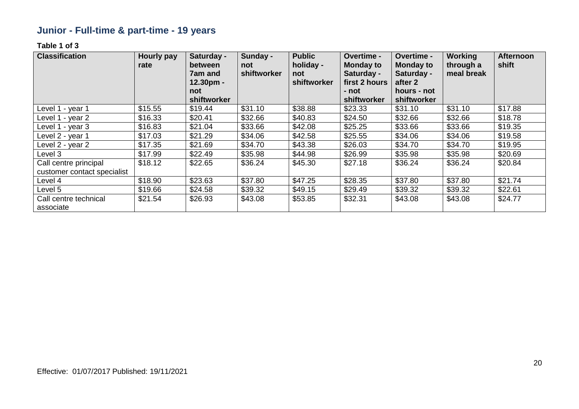# **Junior - Full-time & part-time - 19 years**

| <b>Classification</b>              | <b>Hourly pay</b><br>rate | Saturday -<br>between<br>7am and<br>$12.30pm -$<br>not<br>shiftworker | Sunday -<br>not<br>shiftworker | <b>Public</b><br>holiday -<br>not<br>shiftworker | Overtime -<br><b>Monday to</b><br>Saturday -<br>first 2 hours<br>- not<br>shiftworker | Overtime -<br><b>Monday to</b><br>Saturday -<br>after 2<br>hours - not<br>shiftworker | <b>Working</b><br>through a<br>meal break | <b>Afternoon</b><br>shift |
|------------------------------------|---------------------------|-----------------------------------------------------------------------|--------------------------------|--------------------------------------------------|---------------------------------------------------------------------------------------|---------------------------------------------------------------------------------------|-------------------------------------------|---------------------------|
| Level 1 - year 1                   | \$15.55                   | \$19.44                                                               | \$31.10                        | \$38.88                                          | \$23.33                                                                               | \$31.10                                                                               | \$31.10                                   | \$17.88                   |
| Level 1 - year 2                   | \$16.33                   | \$20.41                                                               | \$32.66                        | \$40.83                                          | \$24.50                                                                               | \$32.66                                                                               | \$32.66                                   | \$18.78                   |
| Level 1 - year 3                   | \$16.83                   | \$21.04                                                               | \$33.66                        | \$42.08                                          | \$25.25                                                                               | \$33.66                                                                               | \$33.66                                   | \$19.35                   |
| Level 2 - year 1                   | \$17.03                   | \$21.29                                                               | \$34.06                        | \$42.58                                          | \$25.55                                                                               | \$34.06                                                                               | \$34.06                                   | \$19.58                   |
| Level 2 - year 2                   | \$17.35                   | \$21.69                                                               | \$34.70                        | \$43.38                                          | \$26.03                                                                               | \$34.70                                                                               | \$34.70                                   | \$19.95                   |
| Level 3                            | \$17.99                   | \$22.49                                                               | \$35.98                        | \$44.98                                          | \$26.99                                                                               | \$35.98                                                                               | \$35.98                                   | \$20.69                   |
| Call centre principal              | \$18.12                   | \$22.65                                                               | \$36.24                        | \$45.30                                          | \$27.18                                                                               | \$36.24                                                                               | \$36.24                                   | \$20.84                   |
| customer contact specialist        |                           |                                                                       |                                |                                                  |                                                                                       |                                                                                       |                                           |                           |
| Level 4                            | \$18.90                   | \$23.63                                                               | \$37.80                        | \$47.25                                          | \$28.35                                                                               | \$37.80                                                                               | \$37.80                                   | \$21.74                   |
| Level 5                            | \$19.66                   | \$24.58                                                               | \$39.32                        | \$49.15                                          | \$29.49                                                                               | \$39.32                                                                               | \$39.32                                   | \$22.61                   |
| Call centre technical<br>associate | \$21.54                   | \$26.93                                                               | \$43.08                        | \$53.85                                          | \$32.31                                                                               | \$43.08                                                                               | \$43.08                                   | \$24.77                   |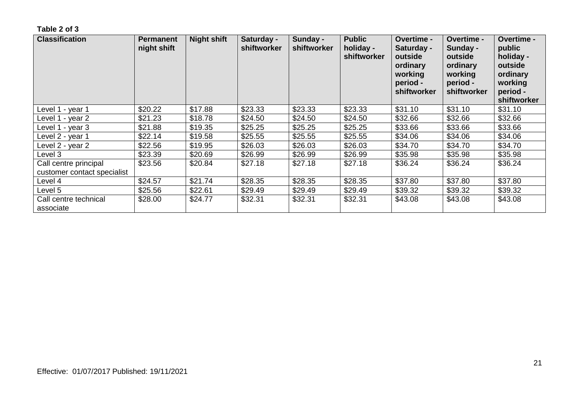| <b>Classification</b>                                | <b>Permanent</b><br>night shift | <b>Night shift</b> | Saturday -<br>shiftworker | Sunday -<br>shiftworker | <b>Public</b><br>holiday -<br>shiftworker | <b>Overtime -</b><br>Saturday -<br>outside<br>ordinary<br>working<br>period -<br>shiftworker | <b>Overtime -</b><br>Sunday -<br>outside<br>ordinary<br>working<br>period -<br>shiftworker | <b>Overtime -</b><br>public<br>holiday -<br>outside<br>ordinary<br>working<br>period -<br>shiftworker |
|------------------------------------------------------|---------------------------------|--------------------|---------------------------|-------------------------|-------------------------------------------|----------------------------------------------------------------------------------------------|--------------------------------------------------------------------------------------------|-------------------------------------------------------------------------------------------------------|
| Level 1 - year 1                                     | \$20.22                         | \$17.88            | \$23.33                   | \$23.33                 | \$23.33                                   | \$31.10                                                                                      | \$31.10                                                                                    | \$31.10                                                                                               |
| Level 1 - year 2                                     | \$21.23                         | \$18.78            | \$24.50                   | \$24.50                 | \$24.50                                   | \$32.66                                                                                      | \$32.66                                                                                    | \$32.66                                                                                               |
| Level 1 - year 3                                     | \$21.88                         | \$19.35            | \$25.25                   | \$25.25                 | \$25.25                                   | \$33.66                                                                                      | \$33.66                                                                                    | \$33.66                                                                                               |
| Level 2 - year 1                                     | \$22.14                         | \$19.58            | \$25.55                   | \$25.55                 | \$25.55                                   | \$34.06                                                                                      | \$34.06                                                                                    | \$34.06                                                                                               |
| Level 2 - year 2                                     | \$22.56                         | \$19.95            | \$26.03                   | \$26.03                 | \$26.03                                   | \$34.70                                                                                      | \$34.70                                                                                    | \$34.70                                                                                               |
| Level 3                                              | \$23.39                         | \$20.69            | \$26.99                   | \$26.99                 | \$26.99                                   | \$35.98                                                                                      | \$35.98                                                                                    | \$35.98                                                                                               |
| Call centre principal<br>customer contact specialist | \$23.56                         | \$20.84            | \$27.18                   | \$27.18                 | \$27.18                                   | \$36.24                                                                                      | \$36.24                                                                                    | \$36.24                                                                                               |
| Level 4                                              | \$24.57                         | \$21.74            | \$28.35                   | \$28.35                 | \$28.35                                   | \$37.80                                                                                      | \$37.80                                                                                    | \$37.80                                                                                               |
| Level 5                                              | \$25.56                         | \$22.61            | \$29.49                   | \$29.49                 | \$29.49                                   | \$39.32                                                                                      | \$39.32                                                                                    | \$39.32                                                                                               |
| Call centre technical<br>associate                   | \$28.00                         | \$24.77            | \$32.31                   | \$32.31                 | \$32.31                                   | \$43.08                                                                                      | \$43.08                                                                                    | \$43.08                                                                                               |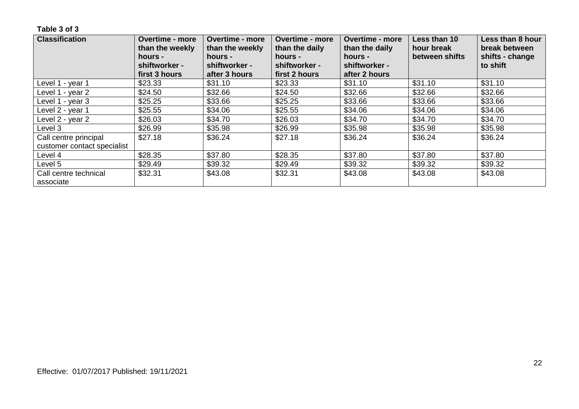| <b>Classification</b>              | <b>Overtime - more</b><br>than the weekly | <b>Overtime - more</b><br>than the weekly | <b>Overtime - more</b><br><b>Overtime - more</b><br>than the daily<br>than the daily<br>hours -<br>hours - |                          | Less than 10<br>hour break<br>between shifts | Less than 8 hour<br>break between<br>shifts - change |
|------------------------------------|-------------------------------------------|-------------------------------------------|------------------------------------------------------------------------------------------------------------|--------------------------|----------------------------------------------|------------------------------------------------------|
|                                    | hours -<br>shiftworker -                  | shiftworker -                             | shiftworker -                                                                                              | hours -<br>shiftworker - |                                              | to shift                                             |
|                                    | first 3 hours                             | after 3 hours                             | first 2 hours                                                                                              | after 2 hours            |                                              |                                                      |
| Level 1 - year 1                   | \$23.33                                   | \$31.10                                   | \$23.33                                                                                                    | \$31.10                  | \$31.10                                      | \$31.10                                              |
| Level 1 - year 2                   | \$24.50                                   | \$32.66                                   | \$24.50                                                                                                    | \$32.66                  | \$32.66                                      | \$32.66                                              |
| Level 1 - year 3                   | \$25.25                                   | \$33.66                                   | \$25.25                                                                                                    | \$33.66                  | \$33.66                                      | \$33.66                                              |
| Level 2 - year 1                   | \$25.55                                   | \$34.06                                   | \$25.55                                                                                                    | \$34.06                  | \$34.06                                      | \$34.06                                              |
| Level 2 - year 2                   | \$26.03                                   | \$34.70                                   | \$26.03                                                                                                    | \$34.70                  | \$34.70                                      | \$34.70                                              |
| Level 3                            | \$26.99                                   | \$35.98                                   | \$26.99                                                                                                    | \$35.98                  | \$35.98                                      | \$35.98                                              |
| Call centre principal              | \$27.18                                   | \$36.24                                   | \$27.18                                                                                                    | \$36.24                  | \$36.24                                      | \$36.24                                              |
| customer contact specialist        |                                           |                                           |                                                                                                            |                          |                                              |                                                      |
| Level 4                            | \$28.35                                   | \$37.80                                   | \$28.35                                                                                                    | \$37.80                  | \$37.80                                      | \$37.80                                              |
| Level 5                            | \$29.49                                   | \$39.32                                   | \$29.49                                                                                                    | \$39.32                  | \$39.32                                      | \$39.32                                              |
| Call centre technical<br>associate | \$32.31                                   | \$43.08                                   | \$32.31                                                                                                    | \$43.08                  | \$43.08                                      | \$43.08                                              |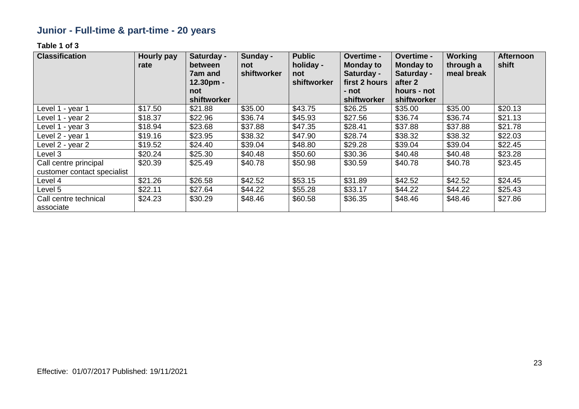# **Junior - Full-time & part-time - 20 years**

| <b>Classification</b>                                | <b>Hourly pay</b><br>rate | Saturday -<br>between<br>7am and | Sunday -<br>not<br>shiftworker | <b>Public</b><br>holiday -<br>not | Overtime -<br><b>Monday to</b><br>Saturday - | Overtime -<br><b>Monday to</b><br>Saturday - | <b>Working</b><br>through a<br>meal break | <b>Afternoon</b><br>shift |
|------------------------------------------------------|---------------------------|----------------------------------|--------------------------------|-----------------------------------|----------------------------------------------|----------------------------------------------|-------------------------------------------|---------------------------|
|                                                      |                           | $12.30pm -$<br>not               |                                | shiftworker                       | first 2 hours<br>- not                       | after 2<br>hours - not                       |                                           |                           |
|                                                      |                           | shiftworker                      |                                |                                   | shiftworker                                  | shiftworker                                  |                                           |                           |
| Level 1 - year 1                                     | \$17.50                   | \$21.88                          | \$35.00                        | \$43.75                           | \$26.25                                      | \$35.00                                      | \$35.00                                   | \$20.13                   |
| Level 1 - year 2                                     | \$18.37                   | \$22.96                          | \$36.74                        | \$45.93                           | \$27.56                                      | \$36.74                                      | \$36.74                                   | \$21.13                   |
| Level 1 - year 3                                     | \$18.94                   | \$23.68                          | \$37.88                        | \$47.35                           | \$28.41                                      | \$37.88                                      | \$37.88                                   | \$21.78                   |
| Level 2 - year 1                                     | \$19.16                   | \$23.95                          | \$38.32                        | \$47.90                           | \$28.74                                      | \$38.32                                      | \$38.32                                   | \$22.03                   |
| Level 2 - year 2                                     | \$19.52                   | \$24.40                          | \$39.04                        | \$48.80                           | \$29.28                                      | \$39.04                                      | \$39.04                                   | \$22.45                   |
| Level 3                                              | \$20.24                   | \$25.30                          | \$40.48                        | \$50.60                           | \$30.36                                      | \$40.48                                      | \$40.48                                   | \$23.28                   |
| Call centre principal<br>customer contact specialist | \$20.39                   | \$25.49                          | \$40.78                        | \$50.98                           | \$30.59                                      | \$40.78                                      | \$40.78                                   | \$23.45                   |
| Level 4                                              | \$21.26                   | \$26.58                          | \$42.52                        | \$53.15                           | \$31.89                                      | \$42.52                                      | \$42.52                                   | \$24.45                   |
| Level 5                                              | \$22.11                   | \$27.64                          | \$44.22                        | \$55.28                           | \$33.17                                      | \$44.22                                      | \$44.22                                   | \$25.43                   |
| Call centre technical<br>associate                   | \$24.23                   | \$30.29                          | \$48.46                        | \$60.58                           | \$36.35                                      | \$48.46                                      | \$48.46                                   | \$27.86                   |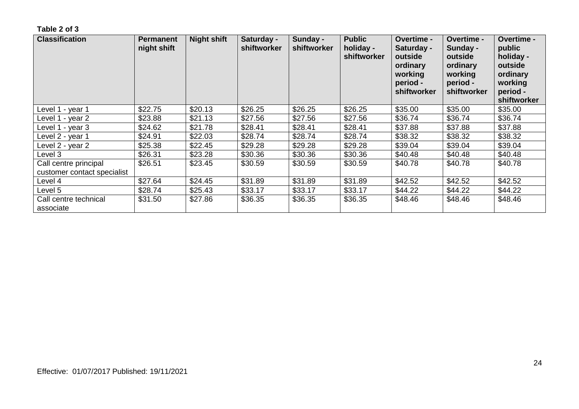| <b>Classification</b>                                | <b>Permanent</b><br>night shift | <b>Night shift</b> | Saturday -<br>shiftworker | Sunday -<br>shiftworker | <b>Public</b><br>holiday -<br>shiftworker | <b>Overtime -</b><br>Saturday -<br>outside<br>ordinary<br>working<br>period -<br>shiftworker | <b>Overtime -</b><br>Sunday -<br>outside<br>ordinary<br>working<br>period -<br>shiftworker | <b>Overtime -</b><br>public<br>holiday -<br>outside<br>ordinary<br>working<br>period -<br>shiftworker |
|------------------------------------------------------|---------------------------------|--------------------|---------------------------|-------------------------|-------------------------------------------|----------------------------------------------------------------------------------------------|--------------------------------------------------------------------------------------------|-------------------------------------------------------------------------------------------------------|
| Level 1 - year 1                                     | \$22.75                         | \$20.13            | \$26.25                   | \$26.25                 | \$26.25                                   | \$35.00                                                                                      | \$35.00                                                                                    | \$35.00                                                                                               |
| Level 1 - year 2                                     | \$23.88                         | \$21.13            | \$27.56                   | \$27.56                 | \$27.56                                   | \$36.74                                                                                      | \$36.74                                                                                    | \$36.74                                                                                               |
| Level 1 - year 3                                     | \$24.62                         | \$21.78            | \$28.41                   | \$28.41                 | \$28.41                                   | \$37.88                                                                                      | \$37.88                                                                                    | \$37.88                                                                                               |
| Level 2 - year 1                                     | \$24.91                         | \$22.03            | \$28.74                   | \$28.74                 | \$28.74                                   | \$38.32                                                                                      | \$38.32                                                                                    | \$38.32                                                                                               |
| Level 2 - year 2                                     | \$25.38                         | \$22.45            | \$29.28                   | \$29.28                 | \$29.28                                   | \$39.04                                                                                      | \$39.04                                                                                    | \$39.04                                                                                               |
| Level 3                                              | \$26.31                         | \$23.28            | \$30.36                   | \$30.36                 | \$30.36                                   | \$40.48                                                                                      | \$40.48                                                                                    | \$40.48                                                                                               |
| Call centre principal<br>customer contact specialist | \$26.51                         | \$23.45            | \$30.59                   | \$30.59                 | \$30.59                                   | \$40.78                                                                                      | \$40.78                                                                                    | \$40.78                                                                                               |
| Level 4                                              | \$27.64                         | \$24.45            | \$31.89                   | \$31.89                 | \$31.89                                   | \$42.52                                                                                      | \$42.52                                                                                    | \$42.52                                                                                               |
| Level 5                                              | \$28.74                         | \$25.43            | \$33.17                   | \$33.17                 | \$33.17                                   | \$44.22                                                                                      | \$44.22                                                                                    | \$44.22                                                                                               |
| Call centre technical<br>associate                   | \$31.50                         | \$27.86            | \$36.35                   | \$36.35                 | \$36.35                                   | \$48.46                                                                                      | \$48.46                                                                                    | \$48.46                                                                                               |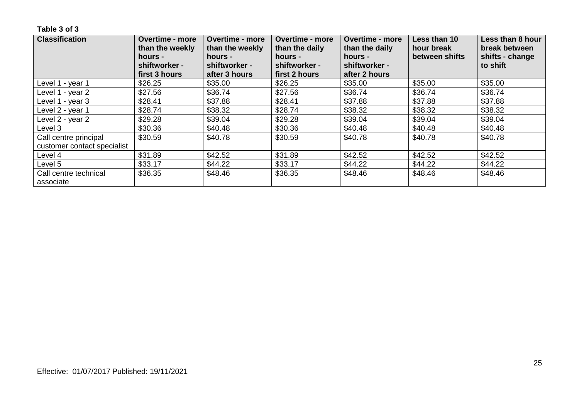| <b>Classification</b>              | <b>Overtime - more</b><br>than the weekly<br>hours -<br>shiftworker - | <b>Overtime - more</b><br>than the weekly<br>hours -<br>shiftworker - | <b>Overtime - more</b><br><b>Overtime - more</b><br>than the daily<br>than the daily<br>hours -<br>hours -<br>shiftworker -<br>shiftworker - |               | Less than 10<br>hour break<br>between shifts | Less than 8 hour<br>break between<br>shifts - change<br>to shift |
|------------------------------------|-----------------------------------------------------------------------|-----------------------------------------------------------------------|----------------------------------------------------------------------------------------------------------------------------------------------|---------------|----------------------------------------------|------------------------------------------------------------------|
|                                    | first 3 hours                                                         | after 3 hours                                                         | first 2 hours                                                                                                                                | after 2 hours |                                              |                                                                  |
| Level 1 - year 1                   | \$26.25                                                               | \$35.00                                                               | \$26.25                                                                                                                                      | \$35.00       | \$35.00                                      | \$35.00                                                          |
| Level 1 - year 2                   | \$27.56                                                               | \$36.74                                                               | \$27.56                                                                                                                                      | \$36.74       | \$36.74                                      | \$36.74                                                          |
| Level 1 - year 3                   | \$28.41                                                               | \$37.88                                                               | \$28.41                                                                                                                                      | \$37.88       | \$37.88                                      | \$37.88                                                          |
| Level 2 - year 1                   | \$28.74                                                               | \$38.32                                                               | \$28.74                                                                                                                                      | \$38.32       | \$38.32                                      | \$38.32                                                          |
| Level 2 - year 2                   | \$29.28                                                               | \$39.04                                                               | \$29.28                                                                                                                                      | \$39.04       | \$39.04                                      | \$39.04                                                          |
| Level 3                            | \$30.36                                                               | \$40.48                                                               | \$30.36                                                                                                                                      | \$40.48       | \$40.48                                      | \$40.48                                                          |
| Call centre principal              | \$30.59                                                               | \$40.78                                                               | \$30.59                                                                                                                                      | \$40.78       | \$40.78                                      | \$40.78                                                          |
| customer contact specialist        |                                                                       |                                                                       |                                                                                                                                              |               |                                              |                                                                  |
| Level 4                            | \$31.89                                                               | \$42.52                                                               | \$31.89                                                                                                                                      | \$42.52       | \$42.52                                      | \$42.52                                                          |
| Level 5                            | \$33.17                                                               | \$44.22                                                               | \$33.17                                                                                                                                      | \$44.22       | \$44.22                                      | \$44.22                                                          |
| Call centre technical<br>associate | \$36.35                                                               | \$48.46                                                               | \$36.35                                                                                                                                      | \$48.46       | \$48.46                                      | \$48.46                                                          |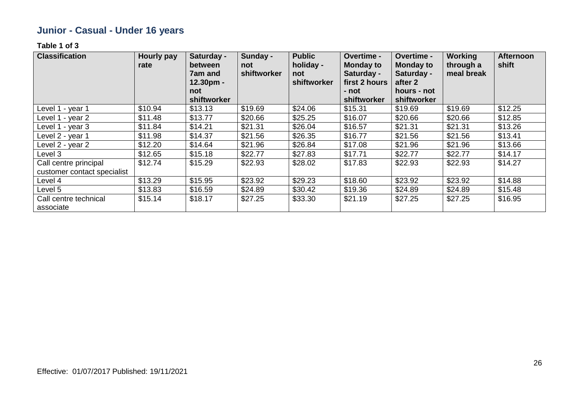# **Junior - Casual - Under 16 years**

| <b>Classification</b>              | <b>Hourly pay</b><br>rate | Saturday -<br>between<br>7am and<br>$12.30pm -$<br>not | Sunday -<br>not<br>shiftworker | <b>Public</b><br>holiday -<br>not<br>shiftworker | Overtime -<br><b>Monday to</b><br>Saturday -<br>first 2 hours<br>- not | Overtime -<br><b>Monday to</b><br>Saturday -<br>after 2<br>hours - not | Working<br>through a<br>meal break | <b>Afternoon</b><br>shift |
|------------------------------------|---------------------------|--------------------------------------------------------|--------------------------------|--------------------------------------------------|------------------------------------------------------------------------|------------------------------------------------------------------------|------------------------------------|---------------------------|
|                                    |                           | shiftworker                                            |                                |                                                  | shiftworker                                                            | shiftworker                                                            |                                    |                           |
| Level 1 - year 1                   | \$10.94                   | \$13.13                                                | \$19.69                        | \$24.06                                          | \$15.31                                                                | \$19.69                                                                | \$19.69                            | \$12.25                   |
| Level 1 - year 2                   | \$11.48                   | \$13.77                                                | \$20.66                        | \$25.25                                          | \$16.07                                                                | \$20.66                                                                | \$20.66                            | \$12.85                   |
| Level 1 - year 3                   | \$11.84                   | \$14.21                                                | \$21.31                        | \$26.04                                          | \$16.57                                                                | \$21.31                                                                | \$21.31                            | \$13.26                   |
| Level 2 - year 1                   | \$11.98                   | \$14.37                                                | \$21.56                        | \$26.35                                          | \$16.77                                                                | \$21.56                                                                | \$21.56                            | \$13.41                   |
| Level 2 - year 2                   | \$12.20                   | \$14.64                                                | \$21.96                        | \$26.84                                          | \$17.08                                                                | \$21.96                                                                | \$21.96                            | \$13.66                   |
| Level 3                            | \$12.65                   | \$15.18                                                | \$22.77                        | \$27.83                                          | \$17.71                                                                | \$22.77                                                                | \$22.77                            | \$14.17                   |
| Call centre principal              | \$12.74                   | \$15.29                                                | \$22.93                        | \$28.02                                          | \$17.83                                                                | \$22.93                                                                | \$22.93                            | \$14.27                   |
| customer contact specialist        |                           |                                                        |                                |                                                  |                                                                        |                                                                        |                                    |                           |
| Level 4                            | \$13.29                   | \$15.95                                                | \$23.92                        | \$29.23                                          | \$18.60                                                                | \$23.92                                                                | \$23.92                            | \$14.88                   |
| Level 5                            | \$13.83                   | \$16.59                                                | \$24.89                        | \$30.42                                          | \$19.36                                                                | \$24.89                                                                | \$24.89                            | \$15.48                   |
| Call centre technical<br>associate | \$15.14                   | \$18.17                                                | \$27.25                        | \$33.30                                          | \$21.19                                                                | \$27.25                                                                | \$27.25                            | \$16.95                   |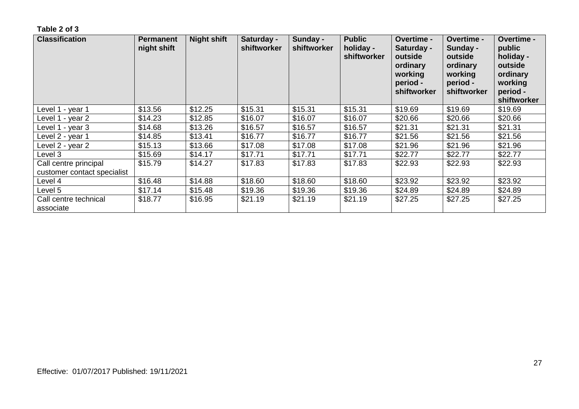| <b>Classification</b>                                | <b>Permanent</b><br>night shift | <b>Night shift</b> | Saturday -<br>shiftworker | Sunday -<br>shiftworker | <b>Public</b><br>holiday -<br>shiftworker | <b>Overtime -</b><br>Saturday -<br>outside<br>ordinary<br>working<br>period -<br>shiftworker | <b>Overtime -</b><br>Sunday -<br>outside<br>ordinary<br>working<br>period -<br>shiftworker | <b>Overtime -</b><br>public<br>holiday -<br>outside<br>ordinary<br>working<br>period -<br>shiftworker |
|------------------------------------------------------|---------------------------------|--------------------|---------------------------|-------------------------|-------------------------------------------|----------------------------------------------------------------------------------------------|--------------------------------------------------------------------------------------------|-------------------------------------------------------------------------------------------------------|
| Level 1 - year 1                                     | \$13.56                         | \$12.25            | \$15.31                   | \$15.31                 | \$15.31                                   | \$19.69                                                                                      | \$19.69                                                                                    | \$19.69                                                                                               |
| Level 1 - year 2                                     | \$14.23                         | \$12.85            | \$16.07                   | \$16.07                 | \$16.07                                   | \$20.66                                                                                      | \$20.66                                                                                    | \$20.66                                                                                               |
| Level 1 - year 3                                     | \$14.68                         | \$13.26            | \$16.57                   | \$16.57                 | \$16.57                                   | \$21.31                                                                                      | \$21.31                                                                                    | \$21.31                                                                                               |
| Level 2 - year 1                                     | \$14.85                         | \$13.41            | \$16.77                   | \$16.77                 | \$16.77                                   | \$21.56                                                                                      | \$21.56                                                                                    | \$21.56                                                                                               |
| Level 2 - year 2                                     | \$15.13                         | \$13.66            | \$17.08                   | \$17.08                 | \$17.08                                   | \$21.96                                                                                      | \$21.96                                                                                    | \$21.96                                                                                               |
| Level 3                                              | \$15.69                         | \$14.17            | \$17.71                   | \$17.71                 | \$17.71                                   | \$22.77                                                                                      | \$22.77                                                                                    | \$22.77                                                                                               |
| Call centre principal<br>customer contact specialist | \$15.79                         | \$14.27            | \$17.83                   | \$17.83                 | \$17.83                                   | \$22.93                                                                                      | \$22.93                                                                                    | \$22.93                                                                                               |
| Level 4                                              | \$16.48                         | \$14.88            | \$18.60                   | \$18.60                 | \$18.60                                   | \$23.92                                                                                      | \$23.92                                                                                    | \$23.92                                                                                               |
| Level 5                                              | \$17.14                         | \$15.48            | \$19.36                   | \$19.36                 | \$19.36                                   | \$24.89                                                                                      | \$24.89                                                                                    | \$24.89                                                                                               |
| Call centre technical<br>associate                   | \$18.77                         | \$16.95            | \$21.19                   | \$21.19                 | \$21.19                                   | \$27.25                                                                                      | \$27.25                                                                                    | \$27.25                                                                                               |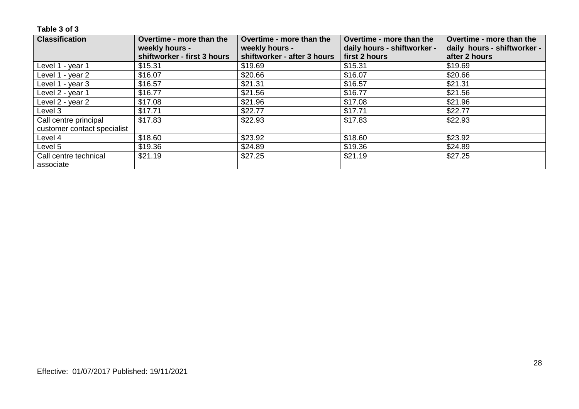| <b>Classification</b>       | Overtime - more than the                      | Overtime - more than the                      | Overtime - more than the    | Overtime - more than the    |
|-----------------------------|-----------------------------------------------|-----------------------------------------------|-----------------------------|-----------------------------|
|                             | weekly hours -<br>shiftworker - first 3 hours | weekly hours -<br>shiftworker - after 3 hours | daily hours - shiftworker - | daily hours - shiftworker - |
|                             |                                               |                                               | first 2 hours               | after 2 hours               |
| Level 1 - year 1            | \$15.31                                       | \$19.69                                       | \$15.31                     | \$19.69                     |
| Level 1 - year 2            | \$16.07                                       | \$20.66                                       | \$16.07                     | \$20.66                     |
| Level 1 - year 3            | \$16.57                                       | \$21.31                                       | \$16.57                     | \$21.31                     |
| Level 2 - year 1            | \$16.77                                       | \$21.56                                       | \$16.77                     | \$21.56                     |
| Level 2 - year 2            | \$17.08                                       | \$21.96                                       | \$17.08                     | \$21.96                     |
| Level 3                     | \$17.71                                       | \$22.77                                       | \$17.71                     | \$22.77                     |
| Call centre principal       | \$17.83                                       | \$22.93                                       | \$17.83                     | \$22.93                     |
| customer contact specialist |                                               |                                               |                             |                             |
| Level 4                     | \$18.60                                       | \$23.92                                       | \$18.60                     | \$23.92                     |
| Level 5                     | \$19.36                                       | \$24.89                                       | \$19.36                     | \$24.89                     |
| Call centre technical       | \$21.19                                       | \$27.25                                       | \$21.19                     | \$27.25                     |
| associate                   |                                               |                                               |                             |                             |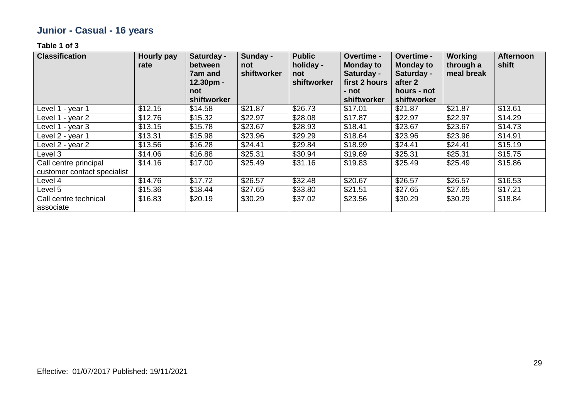# **Junior - Casual - 16 years**

| <b>Classification</b>                                | <b>Hourly pay</b><br>rate | Saturday -<br>between<br>7am and<br>12.30pm - | Sunday -<br>not<br>shiftworker | <b>Public</b><br>holiday -<br>not<br>shiftworker | Overtime -<br><b>Monday to</b><br>Saturday -<br>first 2 hours | Overtime -<br><b>Monday to</b><br>Saturday -<br>after 2 | <b>Working</b><br>through a<br>meal break | <b>Afternoon</b><br>shift |
|------------------------------------------------------|---------------------------|-----------------------------------------------|--------------------------------|--------------------------------------------------|---------------------------------------------------------------|---------------------------------------------------------|-------------------------------------------|---------------------------|
|                                                      |                           | not<br>shiftworker                            |                                |                                                  | - not<br>shiftworker                                          | hours - not<br>shiftworker                              |                                           |                           |
| Level 1 - year 1                                     | \$12.15                   | \$14.58                                       | \$21.87                        | \$26.73                                          | \$17.01                                                       | \$21.87                                                 | \$21.87                                   | \$13.61                   |
| Level 1 - year 2                                     | \$12.76                   | \$15.32                                       | \$22.97                        | \$28.08                                          | \$17.87                                                       | \$22.97                                                 | \$22.97                                   | \$14.29                   |
| Level 1 - year 3                                     | \$13.15                   | \$15.78                                       | \$23.67                        | \$28.93                                          | \$18.41                                                       | \$23.67                                                 | \$23.67                                   | \$14.73                   |
| Level 2 - year 1                                     | \$13.31                   | \$15.98                                       | \$23.96                        | \$29.29                                          | \$18.64                                                       | \$23.96                                                 | \$23.96                                   | \$14.91                   |
| Level 2 - year 2                                     | \$13.56                   | \$16.28                                       | \$24.41                        | \$29.84                                          | \$18.99                                                       | \$24.41                                                 | \$24.41                                   | \$15.19                   |
| Level 3                                              | \$14.06                   | \$16.88                                       | \$25.31                        | \$30.94                                          | \$19.69                                                       | \$25.31                                                 | \$25.31                                   | \$15.75                   |
| Call centre principal<br>customer contact specialist | \$14.16                   | \$17.00                                       | \$25.49                        | \$31.16                                          | \$19.83                                                       | \$25.49                                                 | \$25.49                                   | \$15.86                   |
| Level 4                                              | \$14.76                   | \$17.72                                       | \$26.57                        | \$32.48                                          | \$20.67                                                       | \$26.57                                                 | \$26.57                                   | \$16.53                   |
| Level 5                                              | \$15.36                   | \$18.44                                       | \$27.65                        | \$33.80                                          | \$21.51                                                       | \$27.65                                                 | \$27.65                                   | \$17.21                   |
| Call centre technical<br>associate                   | \$16.83                   | \$20.19                                       | \$30.29                        | \$37.02                                          | \$23.56                                                       | \$30.29                                                 | \$30.29                                   | \$18.84                   |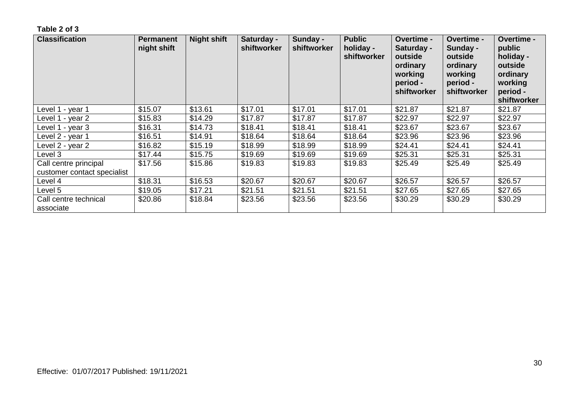| <b>Classification</b>                                | <b>Permanent</b><br>night shift | <b>Night shift</b> | Saturday -<br>shiftworker | Sunday -<br>shiftworker | <b>Public</b><br>holiday -<br>shiftworker | Overtime -<br>Saturday -<br>outside<br>ordinary<br>working<br>period -<br>shiftworker | Overtime -<br>Sunday -<br>outside<br>ordinary<br>working<br>period -<br>shiftworker | <b>Overtime -</b><br>public<br>holiday -<br>outside<br>ordinary<br>working<br>period -<br>shiftworker |
|------------------------------------------------------|---------------------------------|--------------------|---------------------------|-------------------------|-------------------------------------------|---------------------------------------------------------------------------------------|-------------------------------------------------------------------------------------|-------------------------------------------------------------------------------------------------------|
| Level 1 - year 1                                     | \$15.07                         | \$13.61            | \$17.01                   | \$17.01                 | \$17.01                                   | \$21.87                                                                               | \$21.87                                                                             | \$21.87                                                                                               |
| Level 1 - year 2                                     | \$15.83                         | \$14.29            | \$17.87                   | \$17.87                 | \$17.87                                   | \$22.97                                                                               | \$22.97                                                                             | \$22.97                                                                                               |
| Level 1 - year 3                                     | \$16.31                         | \$14.73            | \$18.41                   | \$18.41                 | \$18.41                                   | \$23.67                                                                               | \$23.67                                                                             | \$23.67                                                                                               |
| Level 2 - year 1                                     | \$16.51                         | \$14.91            | \$18.64                   | \$18.64                 | \$18.64                                   | \$23.96                                                                               | \$23.96                                                                             | \$23.96                                                                                               |
| Level 2 - year 2                                     | \$16.82                         | \$15.19            | \$18.99                   | \$18.99                 | \$18.99                                   | \$24.41                                                                               | \$24.41                                                                             | \$24.41                                                                                               |
| Level 3                                              | \$17.44                         | \$15.75            | \$19.69                   | \$19.69                 | \$19.69                                   | \$25.31                                                                               | \$25.31                                                                             | \$25.31                                                                                               |
| Call centre principal<br>customer contact specialist | \$17.56                         | \$15.86            | \$19.83                   | \$19.83                 | \$19.83                                   | \$25.49                                                                               | \$25.49                                                                             | \$25.49                                                                                               |
| Level 4                                              | \$18.31                         | \$16.53            | \$20.67                   | \$20.67                 | \$20.67                                   | \$26.57                                                                               | \$26.57                                                                             | \$26.57                                                                                               |
| Level 5                                              | \$19.05                         | \$17.21            | \$21.51                   | \$21.51                 | \$21.51                                   | \$27.65                                                                               | \$27.65                                                                             | \$27.65                                                                                               |
| Call centre technical<br>associate                   | \$20.86                         | \$18.84            | \$23.56                   | \$23.56                 | \$23.56                                   | \$30.29                                                                               | \$30.29                                                                             | \$30.29                                                                                               |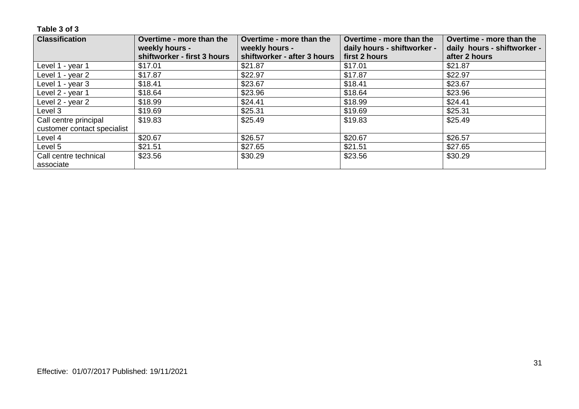| <b>Classification</b>       | Overtime - more than the    | Overtime - more than the    | Overtime - more than the    | Overtime - more than the    |
|-----------------------------|-----------------------------|-----------------------------|-----------------------------|-----------------------------|
|                             | weekly hours -              | weekly hours -              | daily hours - shiftworker - | daily hours - shiftworker - |
|                             | shiftworker - first 3 hours | shiftworker - after 3 hours | first 2 hours               | after 2 hours               |
| Level 1 - year 1            | \$17.01                     | \$21.87                     | \$17.01                     | \$21.87                     |
| Level 1 - year 2            | \$17.87                     | \$22.97                     | \$17.87                     | \$22.97                     |
| Level 1 - year 3            | \$18.41                     | \$23.67                     | \$18.41                     | \$23.67                     |
| Level 2 - year 1            | \$18.64                     | \$23.96                     | \$18.64                     | \$23.96                     |
| Level 2 - year 2            | \$18.99                     | \$24.41                     | \$18.99                     | \$24.41                     |
| Level 3                     | \$19.69                     | \$25.31                     | \$19.69                     | \$25.31                     |
| Call centre principal       | \$19.83                     | \$25.49                     | \$19.83                     | \$25.49                     |
| customer contact specialist |                             |                             |                             |                             |
| Level 4                     | \$20.67                     | \$26.57                     | \$20.67                     | \$26.57                     |
| Level 5                     | \$21.51                     | \$27.65                     | \$21.51                     | \$27.65                     |
| Call centre technical       | \$23.56                     | \$30.29                     | \$23.56                     | \$30.29                     |
| associate                   |                             |                             |                             |                             |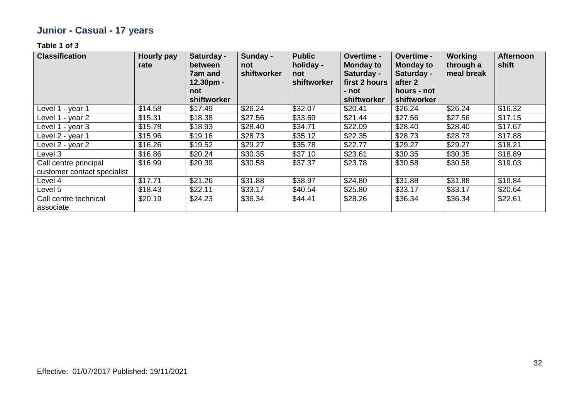# **Junior - Casual - 17 years**

| <b>Classification</b>       | <b>Hourly pay</b><br>rate | Saturday -<br>between<br><b>7am and</b><br>12.30pm -<br>not | Sunday -<br>not<br>shiftworker | <b>Public</b><br>holiday -<br>not<br>shiftworker | Overtime -<br><b>Monday to</b><br>Saturday -<br>first 2 hours<br>- not | Overtime -<br><b>Monday to</b><br>Saturday -<br>after 2<br>hours - not | <b>Working</b><br>through a<br>meal break | <b>Afternoon</b><br>shift |
|-----------------------------|---------------------------|-------------------------------------------------------------|--------------------------------|--------------------------------------------------|------------------------------------------------------------------------|------------------------------------------------------------------------|-------------------------------------------|---------------------------|
| Level 1 - year 1            | \$14.58                   | shiftworker<br>\$17.49                                      | \$26.24                        | \$32.07                                          | shiftworker<br>\$20.41                                                 | shiftworker<br>\$26.24                                                 | \$26.24                                   | \$16.32                   |
| Level 1 - year 2            | \$15.31                   | \$18.38                                                     | \$27.56                        | \$33.69                                          | \$21.44                                                                | \$27.56                                                                | \$27.56                                   | \$17.15                   |
|                             |                           |                                                             |                                |                                                  |                                                                        |                                                                        |                                           |                           |
| Level 1 - year 3            | \$15.78                   | \$18.93                                                     | \$28.40                        | \$34.71                                          | \$22.09                                                                | \$28.40                                                                | \$28.40                                   | \$17.67                   |
| Level 2 - year 1            | \$15.96                   | \$19.16                                                     | \$28.73                        | \$35.12                                          | \$22.35                                                                | \$28.73                                                                | \$28.73                                   | \$17.88                   |
| Level 2 - year 2            | \$16.26                   | \$19.52                                                     | \$29.27                        | \$35.78                                          | \$22.77                                                                | \$29.27                                                                | \$29.27                                   | \$18.21                   |
| Level 3                     | \$16.86                   | \$20.24                                                     | \$30.35                        | \$37.10                                          | \$23.61                                                                | \$30.35                                                                | \$30.35                                   | \$18.89                   |
| Call centre principal       | \$16.99                   | \$20.39                                                     | \$30.58                        | \$37.37                                          | \$23.78                                                                | \$30.58                                                                | \$30.58                                   | \$19.03                   |
| customer contact specialist |                           |                                                             |                                |                                                  |                                                                        |                                                                        |                                           |                           |
| Level 4                     | \$17.71                   | \$21.26                                                     | \$31.88                        | \$38.97                                          | \$24.80                                                                | \$31.88                                                                | \$31.88                                   | \$19.84                   |
| Level 5                     | \$18.43                   | \$22.11                                                     | \$33.17                        | \$40.54                                          | \$25.80                                                                | \$33.17                                                                | \$33.17                                   | \$20.64                   |
| Call centre technical       | \$20.19                   | \$24.23                                                     | \$36.34                        | \$44.41                                          | \$28.26                                                                | \$36.34                                                                | \$36.34                                   | \$22.61                   |
| associate                   |                           |                                                             |                                |                                                  |                                                                        |                                                                        |                                           |                           |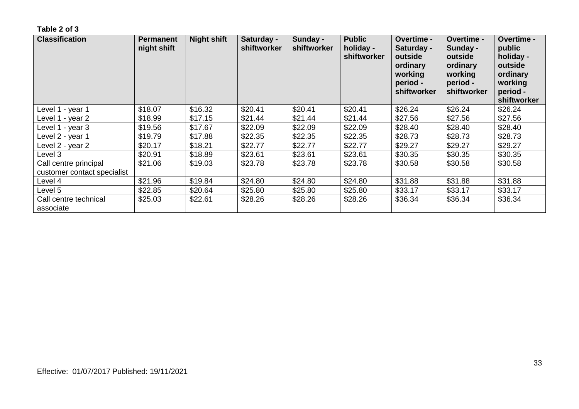| <b>Classification</b>                                | <b>Permanent</b><br>night shift | <b>Night shift</b> | Saturday -<br>shiftworker | Sunday -<br>shiftworker | <b>Public</b><br>holiday -<br>shiftworker | <b>Overtime -</b><br>Saturday -<br>outside<br>ordinary<br>working<br>period -<br>shiftworker | <b>Overtime -</b><br>Sunday -<br>outside<br>ordinary<br>working<br>period -<br>shiftworker | <b>Overtime -</b><br>public<br>holiday -<br>outside<br>ordinary<br>working<br>period -<br>shiftworker |
|------------------------------------------------------|---------------------------------|--------------------|---------------------------|-------------------------|-------------------------------------------|----------------------------------------------------------------------------------------------|--------------------------------------------------------------------------------------------|-------------------------------------------------------------------------------------------------------|
| Level 1 - year 1                                     | \$18.07                         | \$16.32            | \$20.41                   | \$20.41                 | \$20.41                                   | \$26.24                                                                                      | \$26.24                                                                                    | \$26.24                                                                                               |
| Level 1 - year 2                                     | \$18.99                         | \$17.15            | \$21.44                   | \$21.44                 | \$21.44                                   | \$27.56                                                                                      | \$27.56                                                                                    | \$27.56                                                                                               |
| Level 1 - year 3                                     | \$19.56                         | \$17.67            | \$22.09                   | \$22.09                 | \$22.09                                   | \$28.40                                                                                      | \$28.40                                                                                    | \$28.40                                                                                               |
| Level 2 - year 1                                     | \$19.79                         | \$17.88            | \$22.35                   | \$22.35                 | \$22.35                                   | \$28.73                                                                                      | \$28.73                                                                                    | \$28.73                                                                                               |
| Level 2 - year 2                                     | \$20.17                         | \$18.21            | \$22.77                   | \$22.77                 | \$22.77                                   | \$29.27                                                                                      | \$29.27                                                                                    | \$29.27                                                                                               |
| Level 3                                              | \$20.91                         | \$18.89            | \$23.61                   | \$23.61                 | \$23.61                                   | \$30.35                                                                                      | \$30.35                                                                                    | \$30.35                                                                                               |
| Call centre principal<br>customer contact specialist | \$21.06                         | \$19.03            | \$23.78                   | \$23.78                 | \$23.78                                   | \$30.58                                                                                      | \$30.58                                                                                    | \$30.58                                                                                               |
| Level 4                                              | \$21.96                         | \$19.84            | \$24.80                   | \$24.80                 | \$24.80                                   | \$31.88                                                                                      | \$31.88                                                                                    | \$31.88                                                                                               |
| Level 5                                              | \$22.85                         | \$20.64            | \$25.80                   | \$25.80                 | \$25.80                                   | \$33.17                                                                                      | \$33.17                                                                                    | \$33.17                                                                                               |
| Call centre technical<br>associate                   | \$25.03                         | \$22.61            | \$28.26                   | \$28.26                 | \$28.26                                   | \$36.34                                                                                      | \$36.34                                                                                    | \$36.34                                                                                               |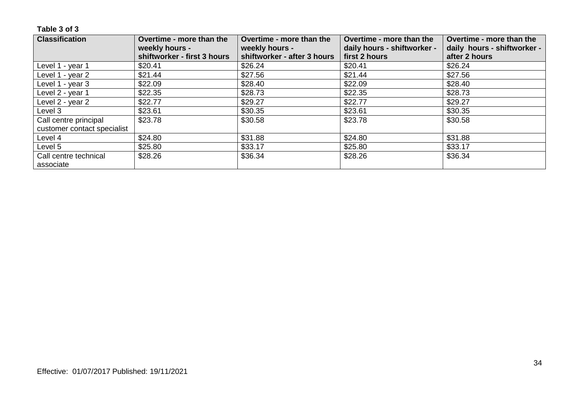| <b>Classification</b>       | Overtime - more than the    | Overtime - more than the    | Overtime - more than the    | Overtime - more than the    |
|-----------------------------|-----------------------------|-----------------------------|-----------------------------|-----------------------------|
|                             | weekly hours -              | weekly hours -              | daily hours - shiftworker - | daily hours - shiftworker - |
|                             | shiftworker - first 3 hours | shiftworker - after 3 hours | first 2 hours               | after 2 hours               |
| Level 1 - year 1            | \$20.41                     | \$26.24                     | \$20.41                     | \$26.24                     |
| Level 1 - year 2            | \$21.44                     | \$27.56                     | \$21.44                     | \$27.56                     |
| Level 1 - year 3            | \$22.09                     | \$28.40                     | \$22.09                     | \$28.40                     |
| Level 2 - year 1            | \$22.35                     | \$28.73                     | \$22.35                     | \$28.73                     |
| Level 2 - year 2            | \$22.77                     | \$29.27                     | \$22.77                     | \$29.27                     |
| Level 3                     | \$23.61                     | \$30.35                     | \$23.61                     | \$30.35                     |
| Call centre principal       | \$23.78                     | \$30.58                     | \$23.78                     | \$30.58                     |
| customer contact specialist |                             |                             |                             |                             |
| Level 4                     | \$24.80                     | \$31.88                     | \$24.80                     | \$31.88                     |
| Level 5                     | \$25.80                     | \$33.17                     | \$25.80                     | \$33.17                     |
| Call centre technical       | \$28.26                     | \$36.34                     | \$28.26                     | \$36.34                     |
| associate                   |                             |                             |                             |                             |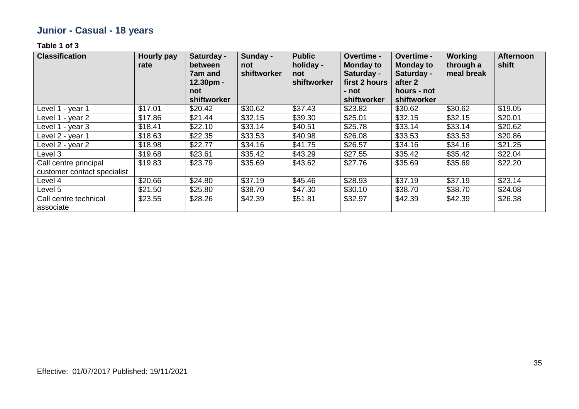# **Junior - Casual - 18 years**

| <b>Classification</b>                                | <b>Hourly pay</b><br>rate | Saturday -<br>between<br>7am and<br>$12.30pm -$<br>not | Sunday -<br>not<br>shiftworker | <b>Public</b><br>holiday -<br>not<br>shiftworker | Overtime -<br><b>Monday to</b><br>Saturday -<br>first 2 hours<br>- not | Overtime -<br><b>Monday to</b><br>Saturday -<br>after 2<br>hours - not | <b>Working</b><br>through a<br>meal break | <b>Afternoon</b><br>shift |
|------------------------------------------------------|---------------------------|--------------------------------------------------------|--------------------------------|--------------------------------------------------|------------------------------------------------------------------------|------------------------------------------------------------------------|-------------------------------------------|---------------------------|
|                                                      |                           | shiftworker                                            |                                |                                                  | shiftworker                                                            | shiftworker                                                            |                                           |                           |
| Level 1 - year 1                                     | \$17.01                   | \$20.42                                                | \$30.62                        | \$37.43                                          | \$23.82                                                                | \$30.62                                                                | \$30.62                                   | \$19.05                   |
| Level 1 - year 2                                     | \$17.86                   | \$21.44                                                | \$32.15                        | \$39.30                                          | \$25.01                                                                | \$32.15                                                                | \$32.15                                   | \$20.01                   |
| Level 1 - year 3                                     | \$18.41                   | \$22.10                                                | \$33.14                        | \$40.51                                          | \$25.78                                                                | \$33.14                                                                | \$33.14                                   | \$20.62                   |
| Level 2 - year 1                                     | \$18.63                   | \$22.35                                                | \$33.53                        | \$40.98                                          | \$26.08                                                                | \$33.53                                                                | \$33.53                                   | \$20.86                   |
| Level 2 - year 2                                     | \$18.98                   | \$22.77                                                | \$34.16                        | \$41.75                                          | \$26.57                                                                | \$34.16                                                                | \$34.16                                   | \$21.25                   |
| Level 3                                              | \$19.68                   | \$23.61                                                | \$35.42                        | \$43.29                                          | \$27.55                                                                | \$35.42                                                                | \$35.42                                   | \$22.04                   |
| Call centre principal<br>customer contact specialist | \$19.83                   | \$23.79                                                | \$35.69                        | \$43.62                                          | \$27.76                                                                | \$35.69                                                                | \$35.69                                   | \$22.20                   |
| Level 4                                              | \$20.66                   | \$24.80                                                | \$37.19                        | \$45.46                                          | \$28.93                                                                | \$37.19                                                                | \$37.19                                   | \$23.14                   |
| Level 5                                              | \$21.50                   | \$25.80                                                | \$38.70                        | \$47.30                                          | \$30.10                                                                | \$38.70                                                                | \$38.70                                   | \$24.08                   |
| Call centre technical<br>associate                   | \$23.55                   | \$28.26                                                | \$42.39                        | \$51.81                                          | \$32.97                                                                | \$42.39                                                                | \$42.39                                   | \$26.38                   |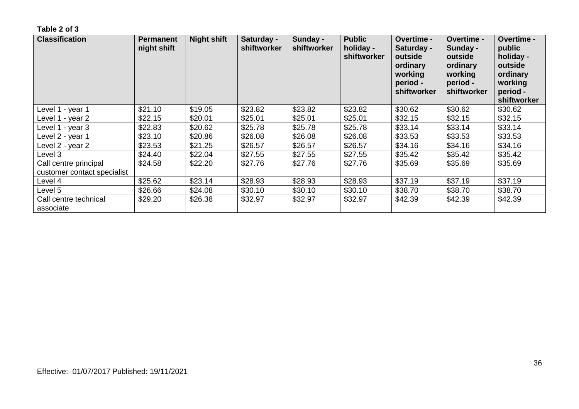| <b>Classification</b>                                | <b>Permanent</b><br>night shift | <b>Night shift</b> | Saturday -<br>shiftworker | Sunday -<br>shiftworker | <b>Public</b><br>holiday -<br>shiftworker | <b>Overtime -</b><br>Saturday -<br>outside<br>ordinary<br>working<br>period -<br>shiftworker | <b>Overtime -</b><br>Sunday -<br>outside<br>ordinary<br>working<br>period -<br>shiftworker | <b>Overtime -</b><br>public<br>holiday -<br>outside<br>ordinary<br>working<br>period -<br>shiftworker |
|------------------------------------------------------|---------------------------------|--------------------|---------------------------|-------------------------|-------------------------------------------|----------------------------------------------------------------------------------------------|--------------------------------------------------------------------------------------------|-------------------------------------------------------------------------------------------------------|
| Level 1 - year 1                                     | \$21.10                         | \$19.05            | \$23.82                   | \$23.82                 | \$23.82                                   | \$30.62                                                                                      | \$30.62                                                                                    | \$30.62                                                                                               |
| Level 1 - year 2                                     | \$22.15                         | \$20.01            | \$25.01                   | \$25.01                 | \$25.01                                   | \$32.15                                                                                      | \$32.15                                                                                    | \$32.15                                                                                               |
| Level 1 - year 3                                     | \$22.83                         | \$20.62            | \$25.78                   | \$25.78                 | \$25.78                                   | \$33.14                                                                                      | \$33.14                                                                                    | \$33.14                                                                                               |
| Level 2 - year 1                                     | \$23.10                         | \$20.86            | \$26.08                   | \$26.08                 | \$26.08                                   | \$33.53                                                                                      | \$33.53                                                                                    | \$33.53                                                                                               |
| Level 2 - year 2                                     | \$23.53                         | \$21.25            | \$26.57                   | \$26.57                 | \$26.57                                   | \$34.16                                                                                      | \$34.16                                                                                    | \$34.16                                                                                               |
| Level 3                                              | \$24.40                         | \$22.04            | \$27.55                   | \$27.55                 | \$27.55                                   | \$35.42                                                                                      | \$35.42                                                                                    | \$35.42                                                                                               |
| Call centre principal<br>customer contact specialist | \$24.58                         | \$22.20            | \$27.76                   | \$27.76                 | \$27.76                                   | \$35.69                                                                                      | \$35.69                                                                                    | \$35.69                                                                                               |
| Level 4                                              | \$25.62                         | \$23.14            | \$28.93                   | \$28.93                 | \$28.93                                   | \$37.19                                                                                      | \$37.19                                                                                    | \$37.19                                                                                               |
| Level 5                                              | \$26.66                         | \$24.08            | \$30.10                   | \$30.10                 | \$30.10                                   | \$38.70                                                                                      | \$38.70                                                                                    | \$38.70                                                                                               |
| Call centre technical<br>associate                   | \$29.20                         | \$26.38            | \$32.97                   | \$32.97                 | \$32.97                                   | \$42.39                                                                                      | \$42.39                                                                                    | \$42.39                                                                                               |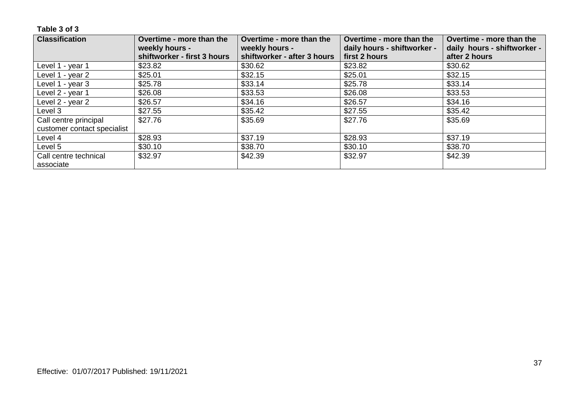| <b>Classification</b>       | Overtime - more than the    | Overtime - more than the    | Overtime - more than the    | Overtime - more than the    |
|-----------------------------|-----------------------------|-----------------------------|-----------------------------|-----------------------------|
|                             | weekly hours -              | weekly hours -              | daily hours - shiftworker - | daily hours - shiftworker - |
|                             | shiftworker - first 3 hours | shiftworker - after 3 hours | first 2 hours               | after 2 hours               |
| Level 1 - year 1            | \$23.82                     | \$30.62                     | \$23.82                     | \$30.62                     |
| Level 1 - year 2            | \$25.01                     | \$32.15                     | \$25.01                     | \$32.15                     |
| Level 1 - year 3            | \$25.78                     | \$33.14                     | \$25.78                     | \$33.14                     |
| Level 2 - year 1            | \$26.08                     | \$33.53                     | \$26.08                     | \$33.53                     |
| Level 2 - year 2            | \$26.57                     | \$34.16                     | \$26.57                     | \$34.16                     |
| Level 3                     | \$27.55                     | \$35.42                     | \$27.55                     | \$35.42                     |
| Call centre principal       | \$27.76                     | \$35.69                     | \$27.76                     | \$35.69                     |
| customer contact specialist |                             |                             |                             |                             |
| Level 4                     | \$28.93                     | \$37.19                     | \$28.93                     | \$37.19                     |
| Level 5                     | \$30.10                     | \$38.70                     | \$30.10                     | \$38.70                     |
| Call centre technical       | \$32.97                     | \$42.39                     | \$32.97                     | \$42.39                     |
| associate                   |                             |                             |                             |                             |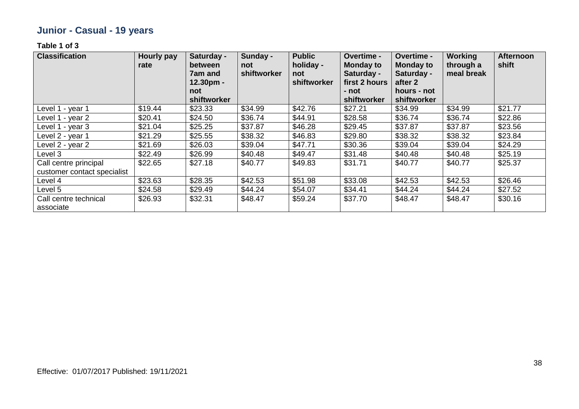# **Junior - Casual - 19 years**

| <b>Classification</b>                                | <b>Hourly pay</b><br>rate | Saturday -<br>between<br>7am and<br>$12.30pm -$ | Sunday -<br>not<br>shiftworker | <b>Public</b><br>holiday -<br>not<br>shiftworker | Overtime -<br><b>Monday to</b><br>Saturday -<br>first 2 hours | Overtime -<br><b>Monday to</b><br>Saturday -<br>after 2 | <b>Working</b><br>through a<br>meal break | <b>Afternoon</b><br>shift |
|------------------------------------------------------|---------------------------|-------------------------------------------------|--------------------------------|--------------------------------------------------|---------------------------------------------------------------|---------------------------------------------------------|-------------------------------------------|---------------------------|
|                                                      |                           | not<br>shiftworker                              |                                |                                                  | - not<br>shiftworker                                          | hours - not<br>shiftworker                              |                                           |                           |
| Level 1 - year 1                                     | \$19.44                   | \$23.33                                         | \$34.99                        | \$42.76                                          | \$27.21                                                       | \$34.99                                                 | \$34.99                                   | \$21.77                   |
| Level 1 - year 2                                     | \$20.41                   | \$24.50                                         | \$36.74                        | \$44.91                                          | \$28.58                                                       | \$36.74                                                 | \$36.74                                   | \$22.86                   |
| Level 1 - year 3                                     | \$21.04                   | \$25.25                                         | \$37.87                        | \$46.28                                          | \$29.45                                                       | \$37.87                                                 | \$37.87                                   | \$23.56                   |
| Level 2 - year 1                                     | \$21.29                   | \$25.55                                         | \$38.32                        | \$46.83                                          | \$29.80                                                       | \$38.32                                                 | \$38.32                                   | \$23.84                   |
| Level 2 - year 2                                     | \$21.69                   | \$26.03                                         | \$39.04                        | \$47.71                                          | \$30.36                                                       | \$39.04                                                 | \$39.04                                   | \$24.29                   |
| Level 3                                              | \$22.49                   | \$26.99                                         | \$40.48                        | \$49.47                                          | \$31.48                                                       | \$40.48                                                 | \$40.48                                   | \$25.19                   |
| Call centre principal<br>customer contact specialist | \$22.65                   | \$27.18                                         | \$40.77                        | \$49.83                                          | \$31.71                                                       | \$40.77                                                 | \$40.77                                   | \$25.37                   |
| Level 4                                              | \$23.63                   | \$28.35                                         | \$42.53                        | \$51.98                                          | \$33.08                                                       | \$42.53                                                 | \$42.53                                   | \$26.46                   |
| Level 5                                              | \$24.58                   | \$29.49                                         | \$44.24                        | \$54.07                                          | \$34.41                                                       | \$44.24                                                 | \$44.24                                   | \$27.52                   |
| Call centre technical<br>associate                   | \$26.93                   | \$32.31                                         | \$48.47                        | \$59.24                                          | \$37.70                                                       | \$48.47                                                 | \$48.47                                   | \$30.16                   |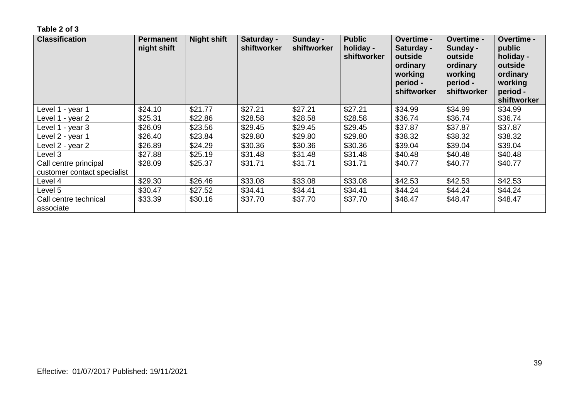| <b>Classification</b>                                | <b>Permanent</b><br>night shift | <b>Night shift</b> | Saturday -<br>shiftworker | Sunday -<br>shiftworker | <b>Public</b><br>holiday -<br>shiftworker | Overtime -<br>Saturday -<br>outside<br>ordinary<br>working<br>period -<br>shiftworker | Overtime -<br>Sunday -<br>outside<br>ordinary<br>working<br>period -<br>shiftworker | <b>Overtime -</b><br>public<br>holiday -<br>outside<br>ordinary<br>working<br>period -<br>shiftworker |
|------------------------------------------------------|---------------------------------|--------------------|---------------------------|-------------------------|-------------------------------------------|---------------------------------------------------------------------------------------|-------------------------------------------------------------------------------------|-------------------------------------------------------------------------------------------------------|
| Level 1 - year 1                                     | \$24.10                         | \$21.77            | \$27.21                   | \$27.21                 | \$27.21                                   | \$34.99                                                                               | \$34.99                                                                             | \$34.99                                                                                               |
| Level 1 - year 2                                     | \$25.31                         | \$22.86            | \$28.58                   | \$28.58                 | \$28.58                                   | \$36.74                                                                               | \$36.74                                                                             | \$36.74                                                                                               |
| Level 1 - year 3                                     | \$26.09                         | \$23.56            | \$29.45                   | \$29.45                 | \$29.45                                   | \$37.87                                                                               | \$37.87                                                                             | \$37.87                                                                                               |
| Level 2 - year 1                                     | \$26.40                         | \$23.84            | \$29.80                   | \$29.80                 | \$29.80                                   | \$38.32                                                                               | \$38.32                                                                             | \$38.32                                                                                               |
| Level 2 - year 2                                     | \$26.89                         | \$24.29            | \$30.36                   | \$30.36                 | \$30.36                                   | \$39.04                                                                               | \$39.04                                                                             | \$39.04                                                                                               |
| Level 3                                              | \$27.88                         | \$25.19            | \$31.48                   | \$31.48                 | \$31.48                                   | \$40.48                                                                               | \$40.48                                                                             | \$40.48                                                                                               |
| Call centre principal<br>customer contact specialist | \$28.09                         | \$25.37            | \$31.71                   | \$31.71                 | \$31.71                                   | \$40.77                                                                               | \$40.77                                                                             | \$40.77                                                                                               |
| Level 4                                              | \$29.30                         | \$26.46            | \$33.08                   | \$33.08                 | \$33.08                                   | \$42.53                                                                               | \$42.53                                                                             | \$42.53                                                                                               |
| Level 5                                              | \$30.47                         | \$27.52            | \$34.41                   | \$34.41                 | \$34.41                                   | \$44.24                                                                               | \$44.24                                                                             | \$44.24                                                                                               |
| Call centre technical<br>associate                   | \$33.39                         | \$30.16            | \$37.70                   | \$37.70                 | \$37.70                                   | \$48.47                                                                               | \$48.47                                                                             | \$48.47                                                                                               |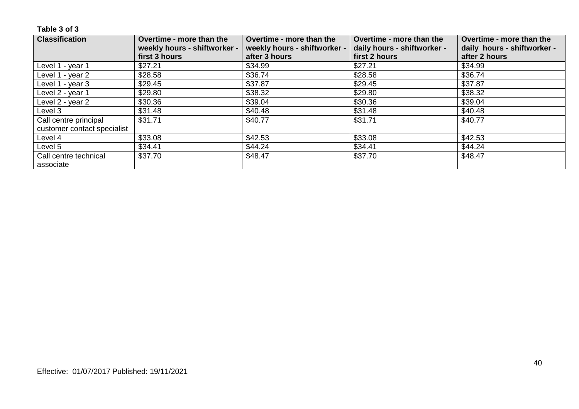| <b>Classification</b>       | Overtime - more than the<br>weekly hours - shiftworker - | Overtime - more than the<br>weekly hours - shiftworker - | Overtime - more than the<br>daily hours - shiftworker - | Overtime - more than the<br>daily hours - shiftworker - |
|-----------------------------|----------------------------------------------------------|----------------------------------------------------------|---------------------------------------------------------|---------------------------------------------------------|
|                             | first 3 hours                                            | after 3 hours                                            | first 2 hours                                           | after 2 hours                                           |
| Level 1 - year 1            | \$27.21                                                  | \$34.99                                                  | \$27.21                                                 | \$34.99                                                 |
| Level 1 - year 2            | \$28.58                                                  | \$36.74                                                  | \$28.58                                                 | \$36.74                                                 |
| Level 1 - year 3            | \$29.45                                                  | \$37.87                                                  | \$29.45                                                 | \$37.87                                                 |
| Level 2 - year 1            | \$29.80                                                  | \$38.32                                                  | \$29.80                                                 | \$38.32                                                 |
| Level 2 - year 2            | \$30.36                                                  | \$39.04                                                  | \$30.36                                                 | \$39.04                                                 |
| Level 3                     | \$31.48                                                  | \$40.48                                                  | \$31.48                                                 | \$40.48                                                 |
| Call centre principal       | \$31.71                                                  | \$40.77                                                  | \$31.71                                                 | \$40.77                                                 |
| customer contact specialist |                                                          |                                                          |                                                         |                                                         |
| Level 4                     | \$33.08                                                  | \$42.53                                                  | \$33.08                                                 | \$42.53                                                 |
| Level 5                     | \$34.41                                                  | \$44.24                                                  | \$34.41                                                 | \$44.24                                                 |
| Call centre technical       | \$37.70                                                  | \$48.47                                                  | \$37.70                                                 | \$48.47                                                 |
| associate                   |                                                          |                                                          |                                                         |                                                         |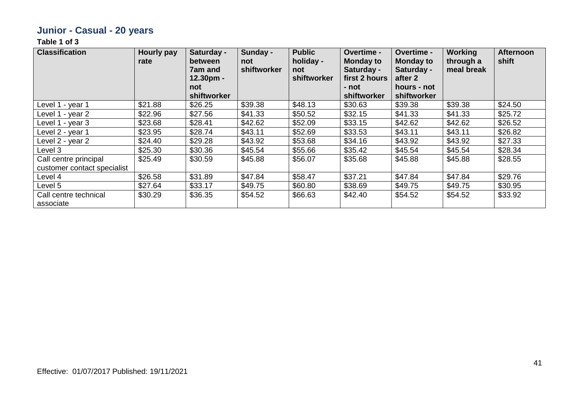# **Junior - Casual - 20 years**

| <b>Classification</b>              | <b>Hourly pay</b><br>rate | Saturday -<br><b>between</b><br><b>7am and</b><br>$12.30pm -$<br>not | Sunday -<br>not<br>shiftworker | <b>Public</b><br>holiday -<br>not<br>shiftworker | Overtime -<br><b>Monday to</b><br>Saturday -<br>first 2 hours<br>- not | Overtime -<br><b>Monday to</b><br>Saturday -<br>after 2<br>hours - not | <b>Working</b><br>through a<br>meal break | <b>Afternoon</b><br>shift |
|------------------------------------|---------------------------|----------------------------------------------------------------------|--------------------------------|--------------------------------------------------|------------------------------------------------------------------------|------------------------------------------------------------------------|-------------------------------------------|---------------------------|
| Level 1 - year 1                   | \$21.88                   | shiftworker<br>\$26.25                                               | \$39.38                        | \$48.13                                          | <b>shiftworker</b><br>\$30.63                                          | shiftworker<br>\$39.38                                                 | \$39.38                                   | \$24.50                   |
| Level 1 - year 2                   | \$22.96                   | \$27.56                                                              | \$41.33                        | \$50.52                                          | \$32.15                                                                | \$41.33                                                                | \$41.33                                   | \$25.72                   |
| Level 1 - year 3                   | \$23.68                   | \$28.41                                                              | \$42.62                        | \$52.09                                          | \$33.15                                                                | \$42.62                                                                | \$42.62                                   | \$26.52                   |
| Level 2 - year 1                   | \$23.95                   | \$28.74                                                              | \$43.11                        | \$52.69                                          | \$33.53                                                                | \$43.11                                                                | \$43.11                                   | \$26.82                   |
| Level 2 - year 2                   | \$24.40                   | \$29.28                                                              | \$43.92                        | \$53.68                                          | \$34.16                                                                | \$43.92                                                                | \$43.92                                   | \$27.33                   |
| Level 3                            | \$25.30                   | \$30.36                                                              | \$45.54                        | \$55.66                                          | \$35.42                                                                | \$45.54                                                                | \$45.54                                   | \$28.34                   |
| Call centre principal              | \$25.49                   | \$30.59                                                              | \$45.88                        | \$56.07                                          | \$35.68                                                                | \$45.88                                                                | \$45.88                                   | \$28.55                   |
| customer contact specialist        |                           |                                                                      |                                |                                                  |                                                                        |                                                                        |                                           |                           |
| Level 4                            | \$26.58                   | \$31.89                                                              | \$47.84                        | \$58.47                                          | \$37.21                                                                | \$47.84                                                                | \$47.84                                   | \$29.76                   |
| Level 5                            | \$27.64                   | \$33.17                                                              | \$49.75                        | \$60.80                                          | \$38.69                                                                | \$49.75                                                                | \$49.75                                   | \$30.95                   |
| Call centre technical<br>associate | \$30.29                   | \$36.35                                                              | \$54.52                        | \$66.63                                          | \$42.40                                                                | \$54.52                                                                | \$54.52                                   | \$33.92                   |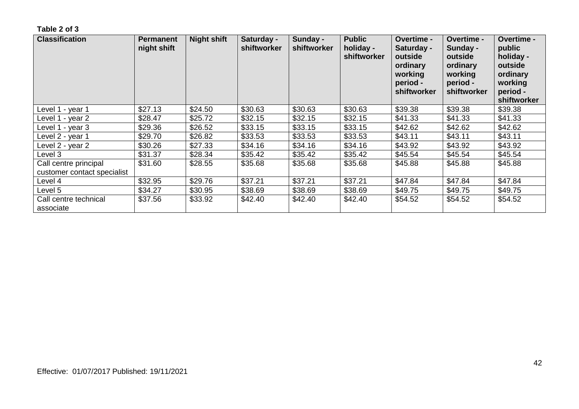| <b>Classification</b>                                | <b>Permanent</b><br>night shift | <b>Night shift</b> | Saturday -<br>shiftworker | Sunday -<br>shiftworker | <b>Public</b><br>holiday -<br>shiftworker | <b>Overtime -</b><br>Saturday -<br>outside<br>ordinary<br>working<br>period -<br>shiftworker | <b>Overtime -</b><br>Sunday -<br>outside<br>ordinary<br>working<br>period -<br>shiftworker | <b>Overtime -</b><br>public<br>holiday -<br>outside<br>ordinary<br>working<br>period -<br>shiftworker |
|------------------------------------------------------|---------------------------------|--------------------|---------------------------|-------------------------|-------------------------------------------|----------------------------------------------------------------------------------------------|--------------------------------------------------------------------------------------------|-------------------------------------------------------------------------------------------------------|
| Level 1 - year 1                                     | \$27.13                         | \$24.50            | \$30.63                   | \$30.63                 | \$30.63                                   | \$39.38                                                                                      | \$39.38                                                                                    | \$39.38                                                                                               |
| Level 1 - year 2                                     | \$28.47                         | \$25.72            | \$32.15                   | \$32.15                 | \$32.15                                   | \$41.33                                                                                      | \$41.33                                                                                    | \$41.33                                                                                               |
| Level 1 - year 3                                     | \$29.36                         | \$26.52            | \$33.15                   | \$33.15                 | \$33.15                                   | \$42.62                                                                                      | \$42.62                                                                                    | \$42.62                                                                                               |
| Level 2 - year 1                                     | \$29.70                         | \$26.82            | \$33.53                   | \$33.53                 | \$33.53                                   | \$43.11                                                                                      | \$43.11                                                                                    | \$43.11                                                                                               |
| Level 2 - year 2                                     | \$30.26                         | \$27.33            | \$34.16                   | \$34.16                 | \$34.16                                   | \$43.92                                                                                      | \$43.92                                                                                    | \$43.92                                                                                               |
| Level 3                                              | \$31.37                         | \$28.34            | \$35.42                   | \$35.42                 | \$35.42                                   | \$45.54                                                                                      | \$45.54                                                                                    | \$45.54                                                                                               |
| Call centre principal<br>customer contact specialist | \$31.60                         | \$28.55            | \$35.68                   | \$35.68                 | \$35.68                                   | \$45.88                                                                                      | \$45.88                                                                                    | \$45.88                                                                                               |
| Level 4                                              | \$32.95                         | \$29.76            | \$37.21                   | \$37.21                 | \$37.21                                   | \$47.84                                                                                      | \$47.84                                                                                    | \$47.84                                                                                               |
| Level 5                                              | \$34.27                         | \$30.95            | \$38.69                   | \$38.69                 | \$38.69                                   | \$49.75                                                                                      | \$49.75                                                                                    | \$49.75                                                                                               |
| Call centre technical<br>associate                   | \$37.56                         | \$33.92            | \$42.40                   | \$42.40                 | \$42.40                                   | \$54.52                                                                                      | \$54.52                                                                                    | \$54.52                                                                                               |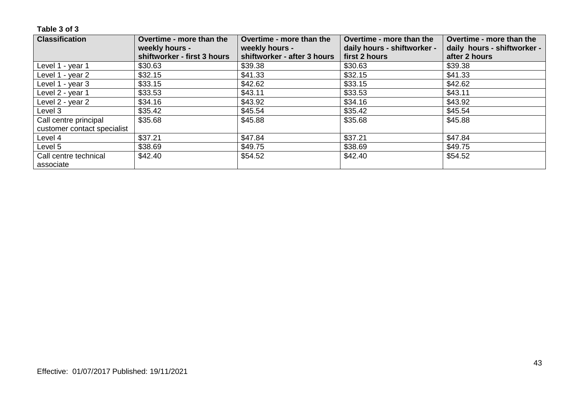| <b>Classification</b>       | Overtime - more than the    | Overtime - more than the    | Overtime - more than the    | Overtime - more than the    |
|-----------------------------|-----------------------------|-----------------------------|-----------------------------|-----------------------------|
|                             | weekly hours -              | weekly hours -              | daily hours - shiftworker - | daily hours - shiftworker - |
|                             | shiftworker - first 3 hours | shiftworker - after 3 hours | first 2 hours               | after 2 hours               |
| Level 1 - year 1            | \$30.63                     | \$39.38                     | \$30.63                     | \$39.38                     |
| Level 1 - year 2            | \$32.15                     | \$41.33                     | \$32.15                     | \$41.33                     |
| Level 1 - year 3            | \$33.15                     | \$42.62                     | \$33.15                     | \$42.62                     |
| Level 2 - year 1            | \$33.53                     | \$43.11                     | \$33.53                     | \$43.11                     |
| Level 2 - year 2            | \$34.16                     | \$43.92                     | \$34.16                     | \$43.92                     |
| Level 3                     | \$35.42                     | \$45.54                     | \$35.42                     | \$45.54                     |
| Call centre principal       | \$35.68                     | \$45.88                     | \$35.68                     | \$45.88                     |
| customer contact specialist |                             |                             |                             |                             |
| Level 4                     | \$37.21                     | \$47.84                     | \$37.21                     | \$47.84                     |
| Level 5                     | \$38.69                     | \$49.75                     | \$38.69                     | \$49.75                     |
| Call centre technical       | \$42.40                     | \$54.52                     | \$42.40                     | \$54.52                     |
| associate                   |                             |                             |                             |                             |